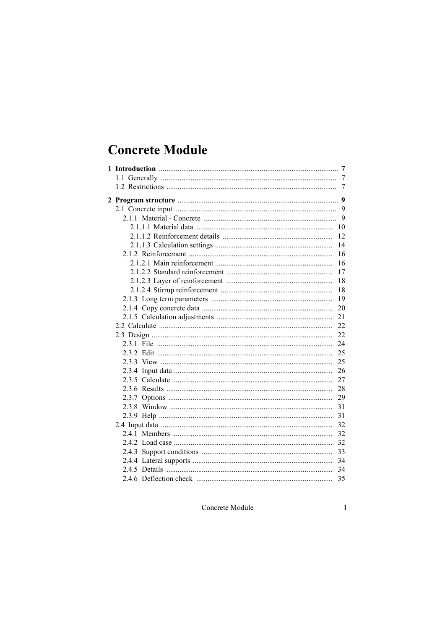# **Concrete Module**

|  | -7 |
|--|----|
|  |    |
|  | 7  |
|  |    |
|  | 9  |
|  | 9  |
|  | 10 |
|  | 12 |
|  | 14 |
|  | 16 |
|  | 16 |
|  | 17 |
|  | 18 |
|  | 18 |
|  | 19 |
|  | 20 |
|  | 21 |
|  | 22 |
|  | 22 |
|  | 24 |
|  | 25 |
|  | 25 |
|  | 26 |
|  | 27 |
|  | 28 |
|  | 29 |
|  | 31 |
|  | 31 |
|  | 32 |
|  | 32 |
|  | 32 |
|  | 33 |
|  | 34 |
|  |    |
|  | 35 |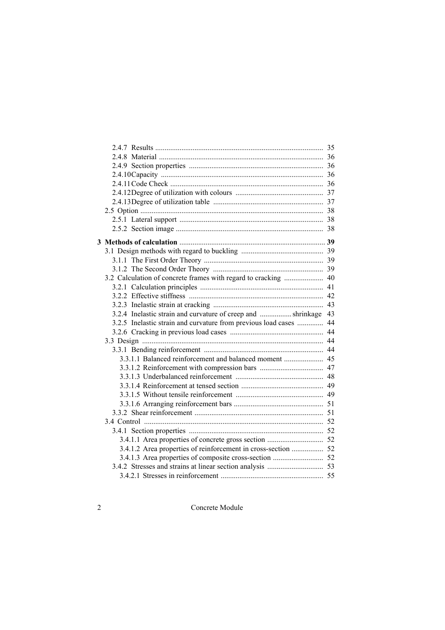| 3.2 Calculation of concrete frames with regard to cracking  40    |  |
|-------------------------------------------------------------------|--|
|                                                                   |  |
|                                                                   |  |
|                                                                   |  |
| 3.2.4 Inelastic strain and curvature of creep and  shrinkage 43   |  |
| 3.2.5 Inelastic strain and curvature from previous load cases  44 |  |
|                                                                   |  |
|                                                                   |  |
|                                                                   |  |
|                                                                   |  |
|                                                                   |  |
|                                                                   |  |
|                                                                   |  |
|                                                                   |  |
|                                                                   |  |
|                                                                   |  |
|                                                                   |  |
|                                                                   |  |
|                                                                   |  |
| 3.4.1.2 Area properties of reinforcement in cross-section  52     |  |
|                                                                   |  |
|                                                                   |  |
|                                                                   |  |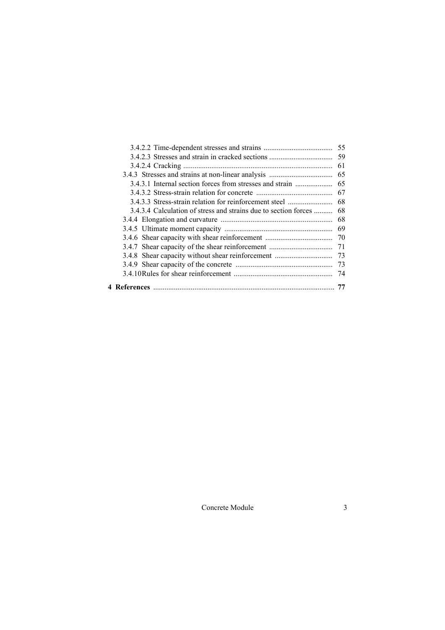|                                                                 | 55  |
|-----------------------------------------------------------------|-----|
|                                                                 |     |
|                                                                 | 61  |
|                                                                 | 65  |
| 3.4.3.1 Internal section forces from stresses and strain        | 65  |
|                                                                 | 67  |
| 3.4.3.3 Stress-strain relation for reinforcement steel          | 68  |
| 3.4.3.4 Calculation of stress and strains due to section forces | 68  |
|                                                                 | 68  |
|                                                                 | -69 |
|                                                                 |     |
|                                                                 |     |
|                                                                 |     |
|                                                                 | 73  |
|                                                                 | 74  |
|                                                                 |     |
|                                                                 |     |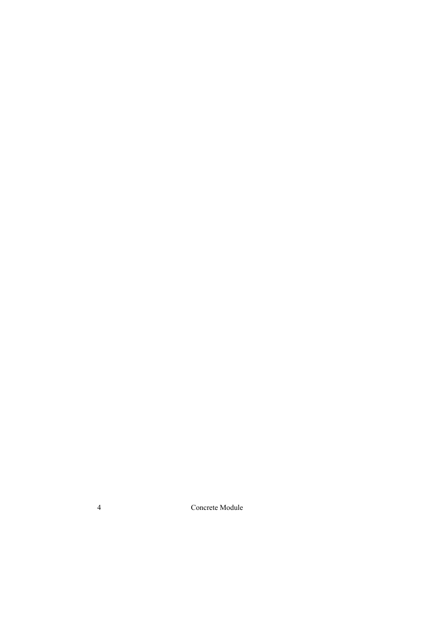4 Concrete Module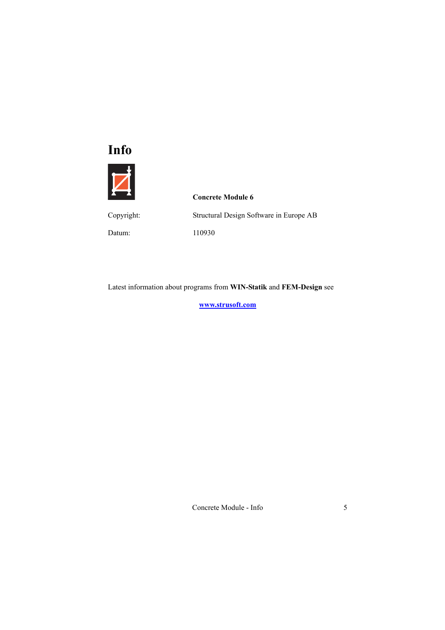# **Info**



### **Concrete Module 6**

Copyright: Structural Design Software in Europe AB Datum: 110930

Latest information about programs from **WIN-Statik** and **FEM-Design** see

**www.strusoft.com**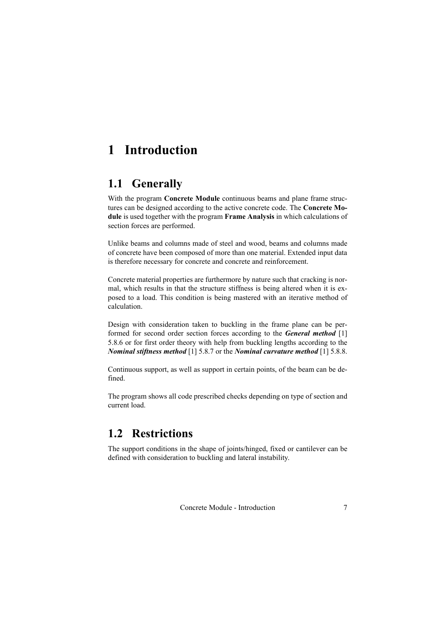# <span id="page-6-0"></span>**1 Introduction**

# **1.1 Generally**

With the program **Concrete Module** continuous beams and plane frame structures can be designed according to the active concrete code. The **Concrete Module** is used together with the program **Frame Analysis** in which calculations of section forces are performed.

Unlike beams and columns made of steel and wood, beams and columns made of concrete have been composed of more than one material. Extended input data is therefore necessary for concrete and concrete and reinforcement.

Concrete material properties are furthermore by nature such that cracking is normal, which results in that the structure stiffness is being altered when it is exposed to a load. This condition is being mastered with an iterative method of calculation.

Design with consideration taken to buckling in the frame plane can be performed for second order section forces according to the *General method* [1] 5.8.6 or for first order theory with help from buckling lengths according to the *Nominal stiftness method* [1] 5.8.7 or the *Nominal curvature method* [1] 5.8.8.

Continuous support, as well as support in certain points, of the beam can be defined.

The program shows all code prescribed checks depending on type of section and current load.

# **1.2 Restrictions**

The support conditions in the shape of joints/hinged, fixed or cantilever can be defined with consideration to buckling and lateral instability.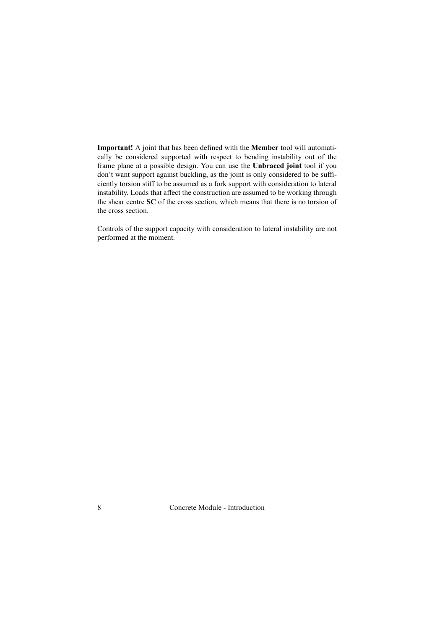**Important!** A joint that has been defined with the **Member** tool will automatically be considered supported with respect to bending instability out of the frame plane at a possible design. You can use the **Unbraced joint** tool if you don't want support against buckling, as the joint is only considered to be sufficiently torsion stiff to be assumed as a fork support with consideration to lateral instability. Loads that affect the construction are assumed to be working through the shear centre **SC** of the cross section, which means that there is no torsion of the cross section.

Controls of the support capacity with consideration to lateral instability are not performed at the moment.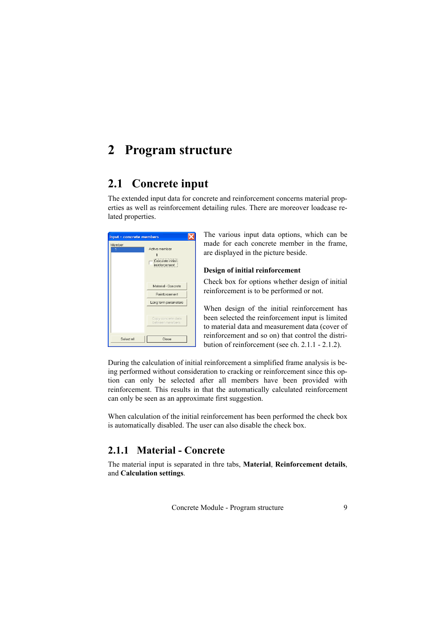# <span id="page-8-0"></span>**2 Program structure**

# **2.1 Concrete input**

The extended input data for concrete and reinforcement concerns material properties as well as reinforcement detailing rules. There are moreover loadcase related properties.

| Input - concrete members |                                                                |  |  |  |
|--------------------------|----------------------------------------------------------------|--|--|--|
| Member                   | Active member<br>Calculate initial<br>reinforcement !          |  |  |  |
|                          | Material - Concrete<br>Reinforcement                           |  |  |  |
|                          | Long term parameters<br>Copy concrete data<br>between members. |  |  |  |
| Select all               | Close                                                          |  |  |  |

The various input data options, which can be made for each concrete member in the frame, are displayed in the picture beside.

### **Design of initial reinforcement**

Check box for options whether design of initial reinforcement is to be performed or not.

When design of the initial reinforcement has been selected the reinforcement input is limited to material data and measurement data (cover of reinforcement and so on) that control the distribution of reinforcement (see ch. 2.1.1 - [2.1.2](#page-15-0)).

During the calculation of initial reinforcement a simplified frame analysis is being performed without consideration to cracking or reinforcement since this option can only be selected after all members have been provided with reinforcement. This results in that the automatically calculated reinforcement can only be seen as an approximate first suggestion.

When calculation of the initial reinforcement has been performed the check box is automatically disabled. The user can also disable the check box.

### **2.1.1 Material - Concrete**

The material input is separated in thre tabs, **Material**, **Reinforcement details**, and **Calculation settings**.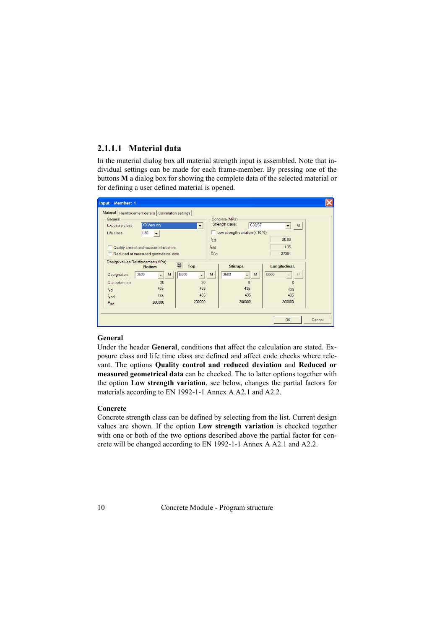### <span id="page-9-0"></span>**2.1.1.1 Material data**

In the material dialog box all material strength input is assembled. Note that individual settings can be made for each frame-member. By pressing one of the buttons **M** a dialog box for showing the complete data of the selected material or for defining a user defined material is opened.

| Input - Member: 1                                       |                           |                                        |                  |  |  |  |
|---------------------------------------------------------|---------------------------|----------------------------------------|------------------|--|--|--|
| Material   Reinforcement details   Calculation settings |                           |                                        |                  |  |  |  |
| General                                                 |                           | Concrete (MPa)                         |                  |  |  |  |
| X0 Very dry<br>Exposure class                           | $\blacktriangledown$      | Strength class:<br>C30/37              | M                |  |  |  |
| L50<br>Life class                                       |                           | $\Box$ Low strength variation (< 10 %) |                  |  |  |  |
|                                                         | $f_{\rm cd}$              |                                        | 20.00            |  |  |  |
| Quality control and reduced deviations                  | $f_{\text{ctd}}$          |                                        | 1.35             |  |  |  |
| Reduced or measured geometrical data                    | $E_{0d}$                  |                                        | 27364            |  |  |  |
| Design values Reinforcement (MPa)                       |                           |                                        |                  |  |  |  |
| <b>Bottom</b>                                           | $\boxed{2}$<br><b>Top</b> | <b>Stirrups</b><br>Longitudinal,       |                  |  |  |  |
| <b>B500</b><br>M<br>Designation:                        | <b>B500</b><br>M          | <b>B500</b><br>M                       | <b>B500</b><br>M |  |  |  |
| 20<br>Diameter, mm                                      | 20                        | 8                                      | 8                |  |  |  |
| 435<br>fyd                                              | 435                       | 435                                    | 435              |  |  |  |
| 435<br>fycd                                             | 435                       | 435                                    | 435              |  |  |  |
| 200000<br>$E_{sd}$                                      | 200000                    | 200000                                 | 200000           |  |  |  |
|                                                         |                           |                                        |                  |  |  |  |
|                                                         | Cancel<br>OK              |                                        |                  |  |  |  |

### **General**

Under the header **General**, conditions that affect the calculation are stated. Exposure class and life time class are defined and affect code checks where relevant. The options **Quality control and reduced deviation** and **Reduced or measured geometrical data** can be checked. The to latter options together with the option **Low strength variation**, see below, changes the partial factors for materials according to EN 1992-1-1 Annex A A2.1 and A2.2.

### **Concrete**

Concrete strength class can be defined by selecting from the list. Current design values are shown. If the option **Low strength variation** is checked together with one or both of the two options described above the partial factor for concrete will be changed according to EN 1992-1-1 Annex A A2.1 and A2.2.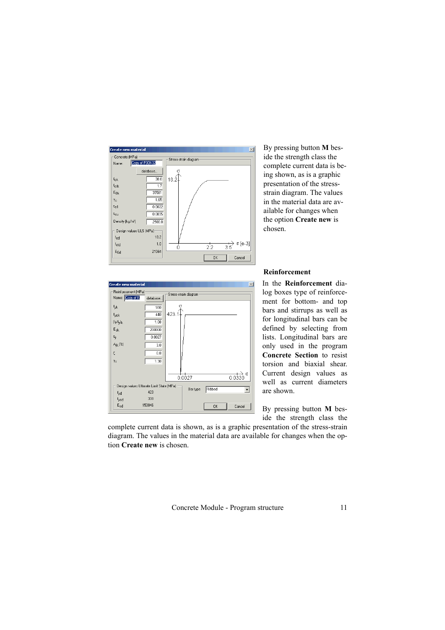



By pressing button **M** beside the strength class the complete current data is being shown, as is a graphic presentation of the stressstrain diagram. The values in the material data are available for changes when the option **Create new** is chosen.

### **Reinforcement**

In the **Reinforcement** dialog boxes type of reinforcement for bottom- and top bars and stirrups as well as for longitudinal bars can be defined by selecting from lists. Longitudinal bars are only used in the program **Concrete Section** to resist torsion and biaxial shear. Current design values as well as current diameters are shown.

By pressing button **M** beside the strength class the

complete current data is shown, as is a graphic presentation of the stress-strain diagram. The values in the material data are available for changes when the option **Create new** is chosen.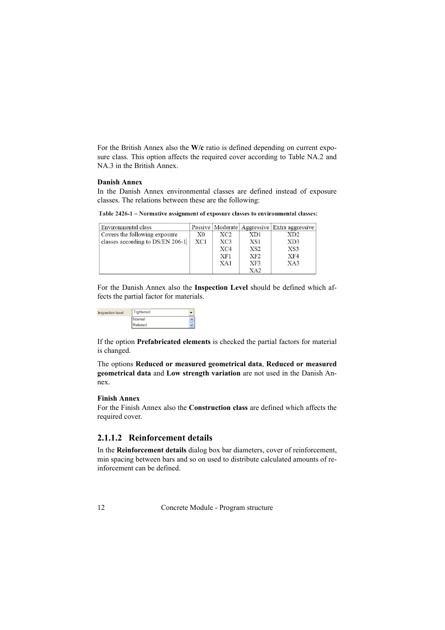<span id="page-11-0"></span>For the British Annex also the **W/c** ratio is defined depending on current exposure class. This option affects the required cover according to Table NA.2 and NA 3 in the British Annex.

### **Danish Annex**

In the Danish Annex environmental classes are defined instead of exposure classes. The relations between these are the following:

Table 2426-1 – Normative assignment of exposure classes to environmental classes:

| Environmental class              |     |                 |                 | Passive   Moderate   Aggressive   Extra aggressive |
|----------------------------------|-----|-----------------|-----------------|----------------------------------------------------|
| Covers the following exposure    | X0  | XC <sub>2</sub> | XD1             | XD2                                                |
| classes according to DS/EN 206-1 | XC1 | XC3             | XS1             | XD3                                                |
|                                  |     | XC4             | XS <sub>2</sub> | XS3                                                |
|                                  |     | XF1             | XF2             | XF4                                                |
|                                  |     | XA1             | XF3             | XA3                                                |
|                                  |     |                 | XA2             |                                                    |

For the Danish Annex also the **Inspection Level** should be defined which affects the partial factor for materials.

| Inspection level | Tightened |  |
|------------------|-----------|--|
|                  | Normal    |  |
|                  | Relaxed   |  |

If the option **Prefabricated elements** is checked the partial factors for material is changed.

The options **Reduced or measured geometrical data**, **Reduced or measured geometrical data** and **Low strength variation** are not used in the Danish Annex.

### **Finish Annex**

For the Finish Annex also the **Construction class** are defined which affects the required cover.

### **2.1.1.2 Reinforcement details**

In the **Reinforcement details** dialog box bar diameters, cover of reinforcement, min spacing between bars and so on used to distribute calculated amounts of reinforcement can be defined.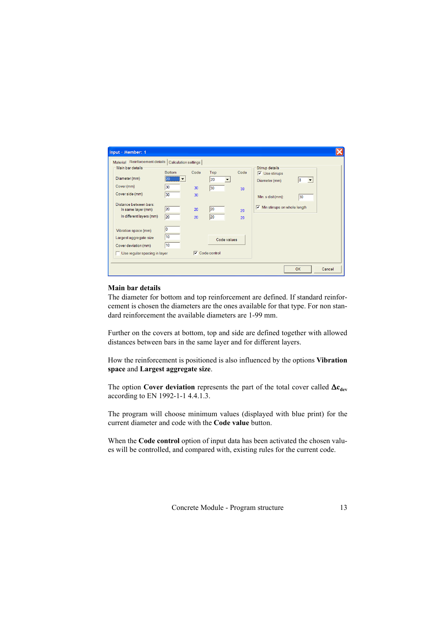| Input - Member: 1                                    |                      |                 |                                      |                 |                                                    |    |        |
|------------------------------------------------------|----------------------|-----------------|--------------------------------------|-----------------|----------------------------------------------------|----|--------|
| Material Reinforcement details                       | Calculation settings |                 |                                      |                 |                                                    |    |        |
| Main bar details                                     | <b>Bottom</b>        | Code            | Top                                  | Code            | Stirrup details-<br>$\overline{\vee}$ Use stirrups |    |        |
| Diameter (mm)                                        | l2C                  |                 | 20                                   |                 | Diameter (mm)                                      | 8  |        |
| Cover (mm)                                           | 30                   | 30 <sup>°</sup> | 30                                   | 30 <sub>2</sub> |                                                    |    |        |
| Cover side (mm)                                      | 30                   | 30              |                                      |                 | Min. s dist (mm):                                  | 30 |        |
| Distance between bars:<br>In same layer (mm)         | 20                   | 20              | 20                                   | 20              | $\triangledown$ Min stirrups on whole length       |    |        |
| In different layers (mm)                             | 20                   | 20              | 20                                   | 20              |                                                    |    |        |
| Vibration space (mm)                                 | 10                   |                 |                                      |                 |                                                    |    |        |
| Largest aggregate size                               | 10                   |                 | Code values                          |                 |                                                    |    |        |
| Cover deviation (mm)<br>Use regular spacing in layer | 10                   |                 | $\overline{\mathbf{v}}$ Code control |                 |                                                    |    |        |
|                                                      |                      |                 |                                      |                 |                                                    | OK | Cancel |

### **Main bar details**

The diameter for bottom and top reinforcement are defined. If standard reinforcement is chosen the diameters are the ones available for that type. For non standard reinforcement the available diameters are 1-99 mm.

Further on the covers at bottom, top and side are defined together with allowed distances between bars in the same layer and for different layers.

How the reinforcement is positioned is also influenced by the options **Vibration space** and **Largest aggregate size**.

The option **Cover deviation** represents the part of the total cover called  $\Delta c_{dev}$ according to EN 1992-1-1 4.4.1.3.

The program will choose minimum values (displayed with blue print) for the current diameter and code with the **Code value** button.

When the **Code control** option of input data has been activated the chosen values will be controlled, and compared with, existing rules for the current code.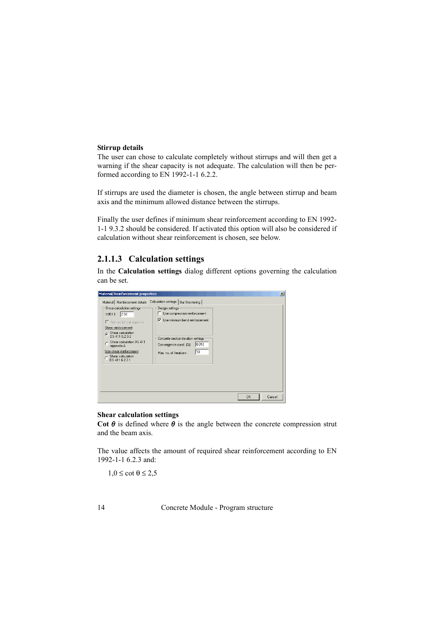### <span id="page-13-0"></span>**Stirrup details**

The user can chose to calculate completely without stirrups and will then get a warning if the shear capacity is not adequate. The calculation will then be performed according to EN 1992-1-1 6.2.2.

If stirrups are used the diameter is chosen, the angle between stirrup and beam axis and the minimum allowed distance between the stirrups.

Finally the user defines if minimum shear reinforcement according to EN 1992- 1-1 9.3.2 should be considered. If activated this option will also be considered if calculation without shear reinforcement is chosen, see below.

### **2.1.1.3 Calculation settings**

In the **Calculation settings** dialog different options governing the calculation can be set.

| Material/Reinforcement properties                                                                                                                                                                                                                               |                                                                                                                                                                                                      | $\vert x \vert$ |
|-----------------------------------------------------------------------------------------------------------------------------------------------------------------------------------------------------------------------------------------------------------------|------------------------------------------------------------------------------------------------------------------------------------------------------------------------------------------------------|-----------------|
| Material   Reinforcement details                                                                                                                                                                                                                                | Calculation settings   Bar Shortening                                                                                                                                                                |                 |
| Shear calculation settings:<br>2.50<br>$\cot(\theta)$ :<br>□ Arch actions at supports<br>Shear reinforcement<br>Shear calculation<br>DS 411 6.2.3.2<br>Shear calculation DS 411<br>appendix A<br>Non-shear reinforcement<br>Shear calculation<br>DS 411 6.2.2.1 | Design settings<br>Use compression reinforcement<br>Use minimum bend reinforcement<br>⊽<br>Concrete section iteration settings-<br>10.010<br>Convergence cond. [%]:<br>10<br>Max. no. of iterations: |                 |
|                                                                                                                                                                                                                                                                 | <b>OK</b><br>Cancel                                                                                                                                                                                  |                 |

### **Shear calculation settings**

**Cot**  $\theta$  is defined where  $\theta$  is the angle between the concrete compression strut and the beam axis.

The value affects the amount of required shear reinforcement according to EN 1992-1-1 6.2.3 and:

 $1,0 \le \cot \theta \le 2,5$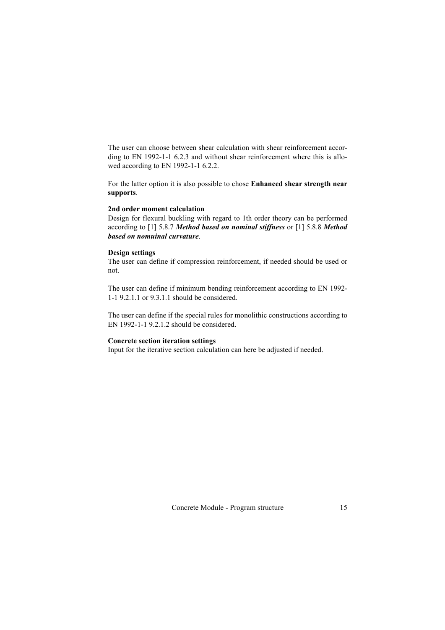The user can choose between shear calculation with shear reinforcement according to EN 1992-1-1 6.2.3 and without shear reinforcement where this is allowed according to EN 1992-1-1 6.2.2.

For the latter option it is also possible to chose **Enhanced shear strength near supports**.

### **2nd order moment calculation**

Design for flexural buckling with regard to 1th order theory can be performed according to [1] 5.8.7 *Method based on nominal stiffness* or [1] 5.8.8 *Method based on nomuinal curvature*.

### **Design settings**

The user can define if compression reinforcement, if needed should be used or not.

The user can define if minimum bending reinforcement according to EN 1992- 1-1 9.2.1.1 or 9.3.1.1 should be considered.

The user can define if the special rules for monolithic constructions according to EN 1992-1-1.9.2.1.2 should be considered.

### **Concrete section iteration settings**

Input for the iterative section calculation can here be adjusted if needed.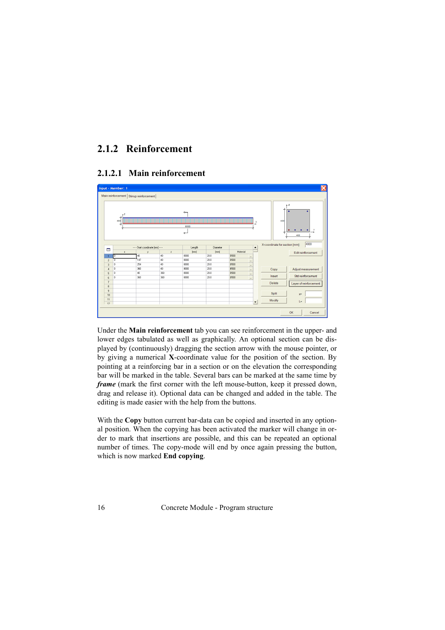## <span id="page-15-0"></span>**2.1.2 Reinforcement**



### **2.1.2.1 Main reinforcement**

Under the **Main reinforcement** tab you can see reinforcement in the upper- and lower edges tabulated as well as graphically. An optional section can be displayed by (continuously) dragging the section arrow with the mouse pointer, or by giving a numerical **X**-coordinate value for the position of the section. By pointing at a reinforcing bar in a section or on the elevation the corresponding bar will be marked in the table. Several bars can be marked at the same time by *frame* (mark the first corner with the left mouse-button, keep it pressed down, drag and release it). Optional data can be changed and added in the table. The editing is made easier with the help from the buttons.

With the **Copy** button current bar-data can be copied and inserted in any optional position. When the copying has been activated the marker will change in order to mark that insertions are possible, and this can be repeated an optional number of times. The copy-mode will end by once again pressing the button, which is now marked **End copying**.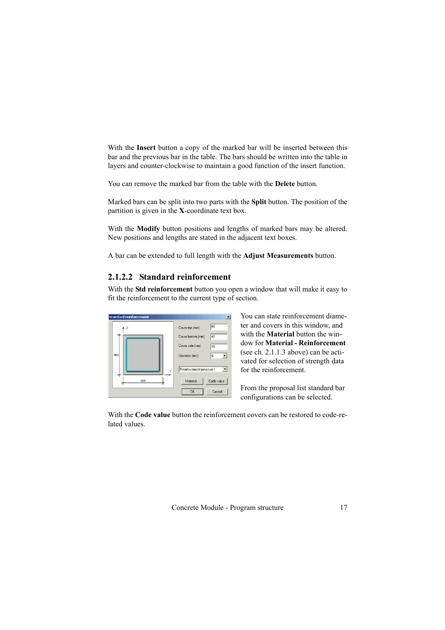<span id="page-16-0"></span>With the **Insert** button a copy of the marked bar will be inserted between this bar and the previous bar in the table. The bars should be written into the table in layers and counter-clockwise to maintain a good function of the insert function.

You can remove the marked bar from the table with the **Delete** button.

Marked bars can be split into two parts with the **Split** button. The position of the partition is given in the **X**-coordinate text box.

With the **Modify** button positions and lengths of marked bars may be altered. New positions and lengths are stated in the adjacent text boxes.

A bar can be extended to full length with the **Adjust Measurements** button.

### **2.1.2.2 Standard reinforcement**

With the **Std reinforcement** button you open a window that will make it easy to fit the reinforcement to the current type of section.



You can state reinforcement diameter and covers in this window, and with the **Material** button the window for **Material - Reinforcement** (see ch. [2.1.1.3](#page-13-0) above) can be activated for selection of strength data for the reinforcement.

From the proposal list standard bar configurations can be selected.

With the **Code value** button the reinforcement covers can be restored to code-related values.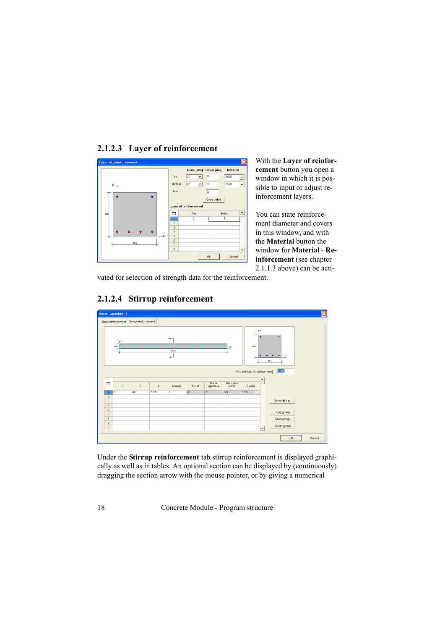<span id="page-17-0"></span>

With the **Layer of reinforcement** button you open a window in which it is possible to input or adjust reinforcement layers.

You can state reinforcement diameter and covers in this window, and with the **Material** button the window for **Material** - **Reinforcement** (see chapter [2.1.1.3](#page-13-0) above) can be acti-

vated for selection of strength data for the reinforcement.



### **2.1.2.4 Stirrup reinforcement**

Under the **Stirrup reinforcement** tab stirrup reinforcement is displayed graphically as well as in tables. An optional section can be displayed by (continuously) dragging the section arrow with the mouse pointer, or by giving a numerical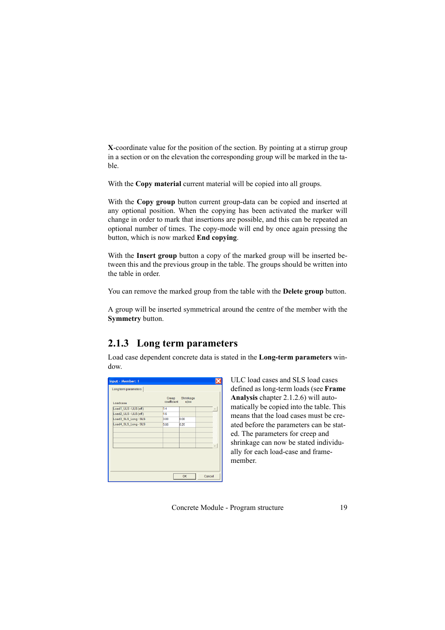<span id="page-18-0"></span>**X**-coordinate value for the position of the section. By pointing at a stirrup group in a section or on the elevation the corresponding group will be marked in the table.

With the **Copy material** current material will be copied into all groups.

With the **Copy group** button current group-data can be copied and inserted at any optional position. When the copying has been activated the marker will change in order to mark that insertions are possible, and this can be repeated an optional number of times. The copy-mode will end by once again pressing the button, which is now marked **End copying**.

With the **Insert group** button a copy of the marked group will be inserted between this and the previous group in the table. The groups should be written into the table in order.

You can remove the marked group from the table with the **Delete group** button.

A group will be inserted symmetrical around the centre of the member with the **Symmetry** button.

## **2.1.3 Long term parameters**

Load case dependent concrete data is stated in the **Long-term parameters** window.

| Input - Member: 1      |                      |                  |        |
|------------------------|----------------------|------------------|--------|
| Long term parameters   |                      |                  |        |
| Loadcase               | Creep<br>coefficient | Shrinkage<br>o/o |        |
| Load1_ULS - ULS (eff.) | 1.4                  |                  |        |
| Load2_ULS - ULS (eff.) | 1.6                  |                  |        |
| Load3_SLS_Long - SLS   | 3.00                 | 0.00             |        |
| Load4_SLS_Long-SLS     | 3.00                 | 0.25             |        |
|                        |                      |                  |        |
|                        |                      |                  |        |
|                        |                      |                  |        |
|                        |                      |                  |        |
|                        |                      |                  |        |
|                        |                      |                  |        |
|                        |                      |                  |        |
|                        |                      |                  |        |
|                        |                      |                  |        |
|                        |                      | OK               | Cancel |

ULC load cases and SLS load cases defined as long-term loads (see **Frame Analysis** chapter 2.1.2.6) will automatically be copied into the table. This means that the load cases must be created before the parameters can be stated. The parameters for creep and shrinkage can now be stated individually for each load-case and framemember.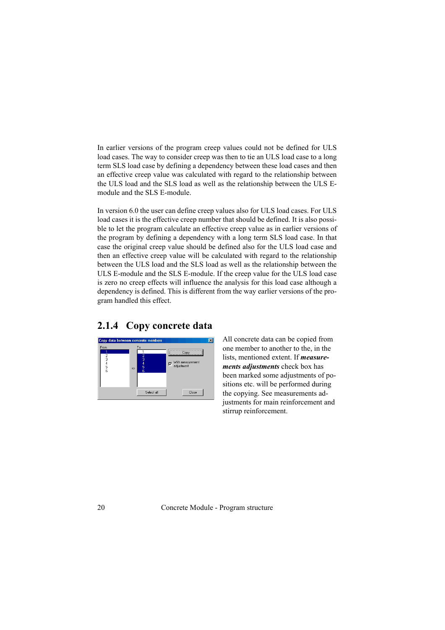<span id="page-19-0"></span>In earlier versions of the program creep values could not be defined for ULS load cases. The way to consider creep was then to tie an ULS load case to a long term SLS load case by defining a dependency between these load cases and then an effective creep value was calculated with regard to the relationship between the ULS load and the SLS load as well as the relationship between the ULS Emodule and the SLS E-module.

In version 6.0 the user can define creep values also for ULS load cases. For ULS load cases it is the effective creep number that should be defined. It is also possible to let the program calculate an effective creep value as in earlier versions of the program by defining a dependency with a long term SLS load case. In that case the original creep value should be defined also for the ULS load case and then an effective creep value will be calculated with regard to the relationship between the ULS load and the SLS load as well as the relationship between the ULS E-module and the SLS E-module. If the creep value for the ULS load case is zero no creep effects will influence the analysis for this load case although a dependency is defined. This is different from the way earlier versions of the program handled this effect.

### **2.1.4 Copy concrete data**



All concrete data can be copied from one member to another to the, in the lists, mentioned extent. If *measurements adjustments* check box has been marked some adjustments of positions etc. will be performed during the copying. See measurements adjustments for main reinforcement and stirrup reinforcement.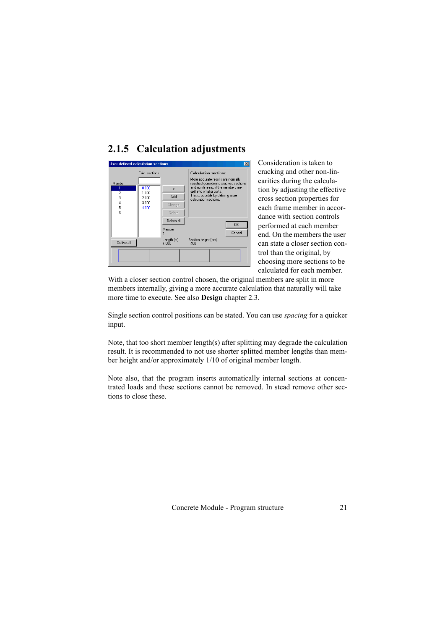#### User defined calculation sections  $\overline{\mathbf{x}}$ Calc sections **Calculation sections** More accurate results are normally more accurate results are nominally<br>reached considering cracked sections<br>and non linearity if the members are Member  $0.000$  $\ddot{\phantom{0}}$ split into smaller parts.<br>This is possible by defining more 1.000 Add  $\overline{\mathbf{a}}$  $2.000$ calculation sections.  $\overline{4}$ 3.000 Change F, 4.000 Delete  $\mathbf{g}$ Delete all nk. Member Cancel Length [m]<br>4.000 Section height [mm] Define all  $\overline{400}$

<span id="page-20-0"></span>**2.1.5 Calculation adjustments**

Consideration is taken to cracking and other non-linearities during the calculation by adjusting the effective cross section properties for each frame member in accordance with section controls performed at each member end. On the members the user can state a closer section control than the original, by choosing more sections to be calculated for each member.

With a closer section control chosen, the original members are split in more members internally, giving a more accurate calculation that naturally will take more time to execute. See also **Design** chapter [2.3](#page-21-0).

Single section control positions can be stated. You can use *spacing* for a quicker input.

Note, that too short member length(s) after splitting may degrade the calculation result. It is recommended to not use shorter splitted member lengths than member height and/or approximately 1/10 of original member length.

Note also, that the program inserts automatically internal sections at concentrated loads and these sections cannot be removed. In stead remove other sections to close these.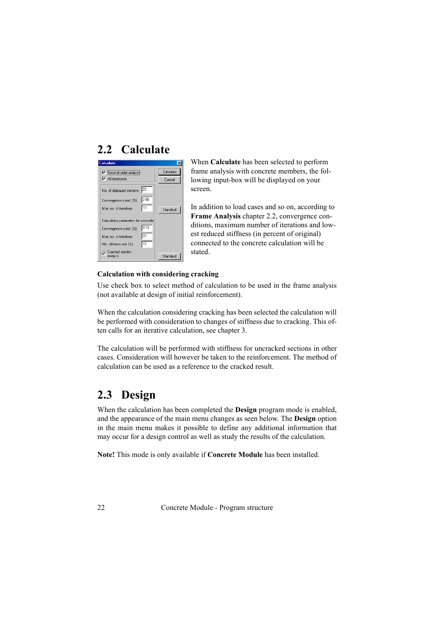# <span id="page-21-0"></span>**2.2 Calculate**



When **Calculate** has been selected to perform frame analysis with concrete members, the following input-box will be displayed on your screen.

In addition to load cases and so on, according to **Frame Analysis** chapter 2.2, convergence conditions, maximum number of iterations and lowest reduced stiffness (in percent of original) connected to the concrete calculation will be stated.

### **Calculation with considering cracking**

Use check box to select method of calculation to be used in the frame analysis (not available at design of initial reinforcement).

When the calculation considering cracking has been selected the calculation will be performed with consideration to changes of stiffness due to cracking. This often calls for an iterative calculation, see chapter [3](#page-38-0).

The calculation will be performed with stiffness for uncracked sections in other cases. Consideration will however be taken to the reinforcement. The method of calculation can be used as a reference to the cracked result.

# **2.3 Design**

When the calculation has been completed the **Design** program mode is enabled, and the appearance of the main menu changes as seen below. The **Design** option in the main menu makes it possible to define any additional information that may occur for a design control as well as study the results of the calculation.

**Note!** This mode is only available if **Concrete Module** has been installed.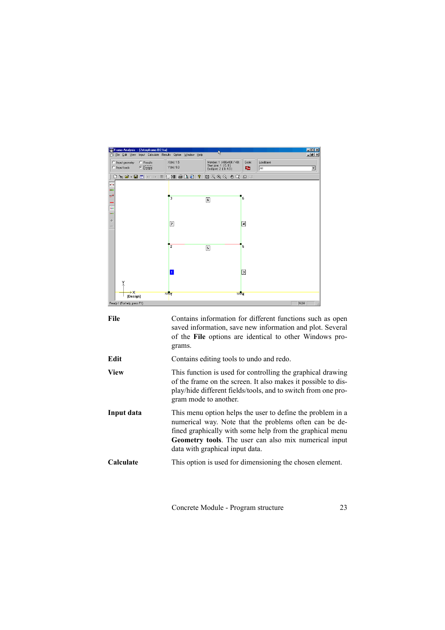

| File        | Contains information for different functions such as open<br>saved information, save new information and plot. Several<br>of the File options are identical to other Windows pro-<br>grams.                                                                                  |
|-------------|------------------------------------------------------------------------------------------------------------------------------------------------------------------------------------------------------------------------------------------------------------------------------|
| Edit        | Contains editing tools to undo and redo.                                                                                                                                                                                                                                     |
| <b>View</b> | This function is used for controlling the graphical drawing<br>of the frame on the screen. It also makes it possible to dis-<br>play/hide different fields/tools, and to switch from one pro-<br>gram mode to another.                                                       |
| Input data  | This menu option helps the user to define the problem in a<br>numerical way. Note that the problems often can be de-<br>fined graphically with some help from the graphical menu<br>Geometry tools. The user can also mix numerical input<br>data with graphical input data. |
| Calculate   | This option is used for dimensioning the chosen element.                                                                                                                                                                                                                     |
|             |                                                                                                                                                                                                                                                                              |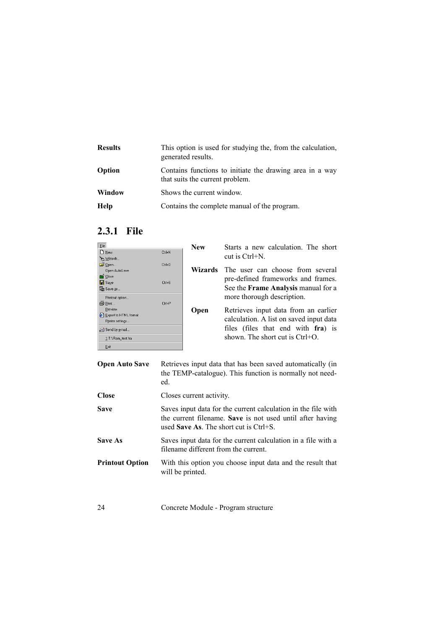<span id="page-23-0"></span>

| <b>Results</b> | This option is used for studying the, from the calculation,<br>generated results.           |
|----------------|---------------------------------------------------------------------------------------------|
| Option         | Contains functions to initiate the drawing area in a way<br>that suits the current problem. |
| Window         | Shows the current window.                                                                   |
| Help           | Contains the complete manual of the program.                                                |

## **2.3.1 File**

| File                  |              |
|-----------------------|--------------|
| $D$ New               | Ctrl+N       |
| Mizards.              |              |
| $\mathbf{B}$ Open     | $C$ trl+ $O$ |
| Open AutoSave         |              |
| <b>Close</b>          |              |
| $\Box$ Save           | Ctrl+S       |
| 霜 Save as             |              |
| Printout option       |              |
| ⊜ Print…              | Ctrl+P       |
| Preview               |              |
| Export to HTML format |              |
| Printer settings      |              |
| Send by e-mail.       |              |
| 1 T:\Ram test.fra     |              |
| Exit                  |              |

| <b>New</b> | Starts a new calculation. The short<br>cut is Ctrl+N.                                                                                                       |
|------------|-------------------------------------------------------------------------------------------------------------------------------------------------------------|
| Wizards    | The user can choose from several<br>pre-defined frameworks and frames.<br>See the <b>Frame Analysis</b> manual for a<br>more thorough description.          |
| Open       | Retrieves input data from an earlier<br>calculation. A list on saved input data<br>files (files that end with fra) is<br>shown. The short cut is $Ctrl+O$ . |

| <b>Open Auto Save</b>  | Retrieves input data that has been saved automatically (in<br>the TEMP-catalogue). This function is normally not need-                                                    |
|------------------------|---------------------------------------------------------------------------------------------------------------------------------------------------------------------------|
|                        | ed.                                                                                                                                                                       |
| <b>Close</b>           | Closes current activity.                                                                                                                                                  |
| <b>Save</b>            | Saves input data for the current calculation in the file with<br>the current filename. Save is not used until after having<br>used Save As. The short cut is $Ctrl + S$ . |
| <b>Save As</b>         | Saves input data for the current calculation in a file with a<br>filename different from the current.                                                                     |
| <b>Printout Option</b> | With this option you choose input data and the result that<br>will be printed.                                                                                            |
|                        |                                                                                                                                                                           |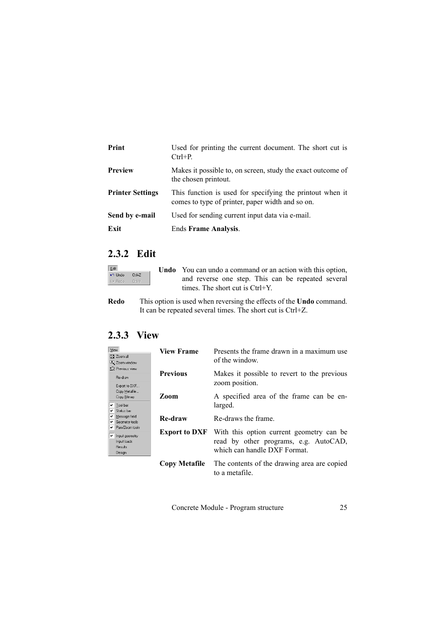<span id="page-24-0"></span>

| Print                   | Used for printing the current document. The short cut is<br>$Ctrl + P$                                        |
|-------------------------|---------------------------------------------------------------------------------------------------------------|
| <b>Preview</b>          | Makes it possible to, on screen, study the exact outcome of<br>the chosen printout.                           |
| <b>Printer Settings</b> | This function is used for specifying the printout when it<br>comes to type of printer, paper width and so on. |
| Send by e-mail          | Used for sending current input data via e-mail.                                                               |
| Exit                    | <b>Ends Frame Analysis.</b>                                                                                   |

### **2.3.2 Edit**

| Edit            |           |
|-----------------|-----------|
| <b>∗</b> ว Undo | $C$ trl+Z |
| C* Redo         | Ctrl+Y    |

**Undo** You can undo a command or an action with this option, and reverse one step. This can be repeated several times. The short cut is Ctrl+Y.

**Redo** This option is used when reversing the effects of the **Undo** command. It can be repeated several times. The short cut is Ctrl+Z.

## **2.3.3 View**

| View<br>区 Zoom all<br>E Zoom window                                                                                                                                                                     | <b>View Frame</b>    | Presents the frame drawn in a maximum use<br>of the window.                                                                            |
|---------------------------------------------------------------------------------------------------------------------------------------------------------------------------------------------------------|----------------------|----------------------------------------------------------------------------------------------------------------------------------------|
| $\mathfrak{D}$ Previous view<br>Re-draw<br>Export to DXF                                                                                                                                                | <b>Previous</b>      | Makes it possible to revert to the previous<br>zoom position.                                                                          |
| Copy Metafile<br>Zoom<br>Copy Bitmap<br>Tool bar<br>び<br>Status bar<br>Message field<br><b>Re-draw</b><br>Geometry tools<br>Pan/Zoom tools<br>$\vee$ Input geometry<br>Input loads<br>Results<br>Design |                      | A specified area of the frame can be en-<br>larged.                                                                                    |
|                                                                                                                                                                                                         | Re-draws the frame.  |                                                                                                                                        |
|                                                                                                                                                                                                         |                      | <b>Export to DXF</b> With this option current geometry can be<br>read by other programs, e.g. AutoCAD,<br>which can handle DXF Format. |
|                                                                                                                                                                                                         | <b>Copy Metafile</b> | The contents of the drawing area are copied<br>to a metafile.                                                                          |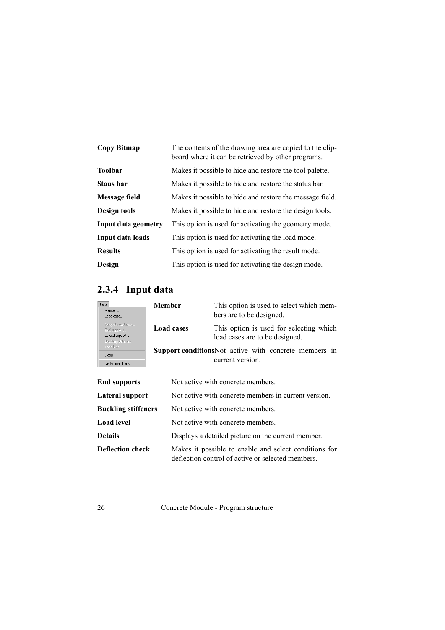<span id="page-25-0"></span>

| <b>Copy Bitmap</b>  | The contents of the drawing area are copied to the clip-<br>board where it can be retrieved by other programs. |
|---------------------|----------------------------------------------------------------------------------------------------------------|
| <b>Toolbar</b>      | Makes it possible to hide and restore the tool palette.                                                        |
| Staus bar           | Makes it possible to hide and restore the status bar.                                                          |
| Message field       | Makes it possible to hide and restore the message field.                                                       |
| <b>Design tools</b> | Makes it possible to hide and restore the design tools.                                                        |
| Input data geometry | This option is used for activating the geometry mode.                                                          |
| Input data loads    | This option is used for activating the load mode.                                                              |
| <b>Results</b>      | This option is used for activating the result mode.                                                            |
| Design              | This option is used for activating the design mode.                                                            |

### **2.3.4 Input data**



| <u>Meilidel</u><br>Load case                                                 | bers are to be designed.                                                                       |
|------------------------------------------------------------------------------|------------------------------------------------------------------------------------------------|
| Support conditions<br>End supports<br>Lateral support<br>Buckling stiffeners | This option is used for selecting which<br><b>Load cases</b><br>load cases are to be designed. |
| Load level<br>Details                                                        | <b>Support conditions</b> Not active with concrete members in<br>current version.              |
| Deflection check                                                             |                                                                                                |
| <b>End supports</b>                                                          | Not active with concrete members.                                                              |
| Lateral support                                                              | Not active with concrete members in current version.                                           |
| <b>Buckling stiffeners</b>                                                   | Not active with concrete members.                                                              |
| <b>Load level</b>                                                            | Not active with concrete members.                                                              |
| <b>Details</b>                                                               | Displays a detailed picture on the current member.                                             |
|                                                                              |                                                                                                |

| Deflection check | Makes it possible to enable and select conditions for |
|------------------|-------------------------------------------------------|
|                  | deflection control of active or selected members.     |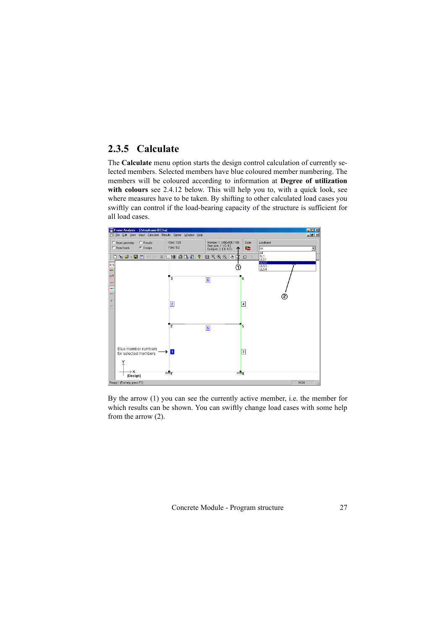## <span id="page-26-0"></span>**2.3.5 Calculate**

The **Calculate** menu option starts the design control calculation of currently selected members. Selected members have blue coloured member numbering. The members will be coloured according to information at **Degree of utilization with colours** see [2.4.12](#page-36-0) below. This will help you to, with a quick look, see where measures have to be taken. By shifting to other calculated load cases you swiftly can control if the load-bearing capacity of the structure is sufficient for all load cases.



By the arrow (1) you can see the currently active member, i.e. the member for which results can be shown. You can swiftly change load cases with some help from the arrow (2).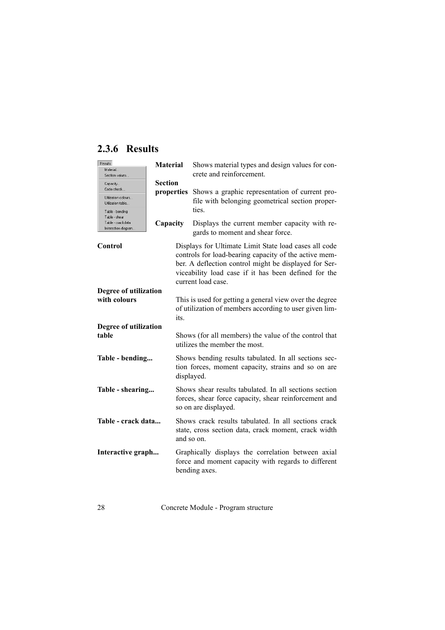## <span id="page-27-0"></span>**2.3.6 Results**

| Results<br>Material<br>Section values                                                                  | <b>Material</b>              | Shows material types and design values for con-<br>crete and reinforcement.                                                                                                                                                                           |  |
|--------------------------------------------------------------------------------------------------------|------------------------------|-------------------------------------------------------------------------------------------------------------------------------------------------------------------------------------------------------------------------------------------------------|--|
| Capacity<br>Code check<br>Utilization colours<br>Utilization table<br>Table - bending<br>Table · shear | <b>Section</b><br>properties | Shows a graphic representation of current pro-<br>file with belonging geometrical section proper-<br>ties.                                                                                                                                            |  |
| Table - crackdata<br>Interaction diagram                                                               | Capacity                     | Displays the current member capacity with re-<br>gards to moment and shear force.                                                                                                                                                                     |  |
| Control                                                                                                |                              | Displays for Ultimate Limit State load cases all code<br>controls for load-bearing capacity of the active mem-<br>ber. A deflection control might be displayed for Ser-<br>viceability load case if it has been defined for the<br>current load case. |  |
| Degree of utilization<br>with colours                                                                  | its.                         | This is used for getting a general view over the degree<br>of utilization of members according to user given lim-                                                                                                                                     |  |
| Degree of utilization<br>table                                                                         |                              | Shows (for all members) the value of the control that<br>utilizes the member the most.                                                                                                                                                                |  |
| Table - bending                                                                                        |                              | Shows bending results tabulated. In all sections sec-<br>tion forces, moment capacity, strains and so on are<br>displayed.                                                                                                                            |  |
| Table - shearing                                                                                       |                              | Shows shear results tabulated. In all sections section<br>forces, shear force capacity, shear reinforcement and<br>so on are displayed.                                                                                                               |  |
| Table - crack data                                                                                     |                              | Shows crack results tabulated. In all sections crack<br>state, cross section data, crack moment, crack width<br>and so on.                                                                                                                            |  |
| Interactive graph                                                                                      |                              | Graphically displays the correlation between axial<br>force and moment capacity with regards to different<br>bending axes.                                                                                                                            |  |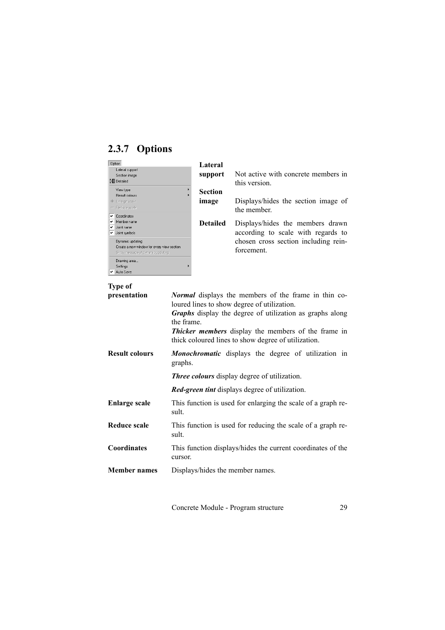# <span id="page-28-0"></span>**2.3.7 Options**

| <b>Option</b><br>Lateral support<br>Section image<br>I. Detailed                                                                                                             | Lateral<br>support      | Not active with concrete members in<br>this version.                                                                         |
|------------------------------------------------------------------------------------------------------------------------------------------------------------------------------|-------------------------|------------------------------------------------------------------------------------------------------------------------------|
| View type<br>Result colours<br>+ Enlarge scale<br>- Reduce scale<br>Coordinates                                                                                              | <b>Section</b><br>image | Displays/hides the section image of<br>the member                                                                            |
| Member name<br>Joint name<br>Joint symbols<br>Dynamic updating<br>Create a new window for every view section<br>Show message at dynamic updating<br>Drawing area<br>Settings | <b>Detailed</b>         | Displays/hides the members drawn<br>according to scale with regards to<br>chosen cross section including rein-<br>forcement. |
| Auto Save                                                                                                                                                                    |                         |                                                                                                                              |

# **Type of**

| TA ha ai              |                                                                                                                                                                                                                                                                                                                  |  |  |
|-----------------------|------------------------------------------------------------------------------------------------------------------------------------------------------------------------------------------------------------------------------------------------------------------------------------------------------------------|--|--|
| presentation          | <i>Normal</i> displays the members of the frame in thin co-<br>loured lines to show degree of utilization.<br><b>Graphs</b> display the degree of utilization as graphs along<br>the frame.<br><b>Thicker members</b> display the members of the frame in<br>thick coloured lines to show degree of utilization. |  |  |
| <b>Result colours</b> | <b>Monochromatic</b> displays the degree of utilization in<br>graphs.                                                                                                                                                                                                                                            |  |  |
|                       | <b>Three colours</b> display degree of utilization.                                                                                                                                                                                                                                                              |  |  |
|                       | <b>Red-green tint</b> displays degree of utilization.                                                                                                                                                                                                                                                            |  |  |
| <b>Enlarge scale</b>  | This function is used for enlarging the scale of a graph re-<br>sult.                                                                                                                                                                                                                                            |  |  |
| <b>Reduce scale</b>   | This function is used for reducing the scale of a graph re-<br>sult.                                                                                                                                                                                                                                             |  |  |
| <b>Coordinates</b>    | This function displays/hides the current coordinates of the<br>cursor.                                                                                                                                                                                                                                           |  |  |
| <b>Member names</b>   | Displays/hides the member names.                                                                                                                                                                                                                                                                                 |  |  |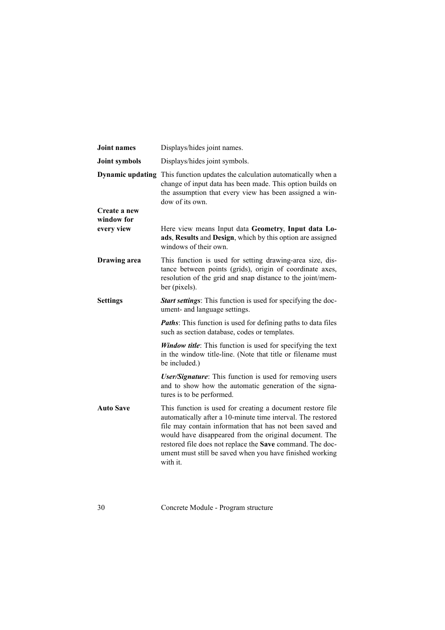| <b>Joint names</b>         | Displays/hides joint names.                                                                                                                                                                                                                                                                                                                                                          |
|----------------------------|--------------------------------------------------------------------------------------------------------------------------------------------------------------------------------------------------------------------------------------------------------------------------------------------------------------------------------------------------------------------------------------|
| Joint symbols              | Displays/hides joint symbols.                                                                                                                                                                                                                                                                                                                                                        |
| <b>Dynamic updating</b>    | This function updates the calculation automatically when a<br>change of input data has been made. This option builds on<br>the assumption that every view has been assigned a win-<br>dow of its own.                                                                                                                                                                                |
| Create a new<br>window for |                                                                                                                                                                                                                                                                                                                                                                                      |
| every view                 | Here view means Input data Geometry, Input data Lo-<br>ads, Results and Design, which by this option are assigned<br>windows of their own.                                                                                                                                                                                                                                           |
| <b>Drawing</b> area        | This function is used for setting drawing-area size, dis-<br>tance between points (grids), origin of coordinate axes,<br>resolution of the grid and snap distance to the joint/mem-<br>ber (pixels).                                                                                                                                                                                 |
| <b>Settings</b>            | <b>Start settings:</b> This function is used for specifying the doc-<br>ument- and language settings.                                                                                                                                                                                                                                                                                |
|                            | <b>Paths:</b> This function is used for defining paths to data files<br>such as section database, codes or templates.                                                                                                                                                                                                                                                                |
|                            | <b>Window title:</b> This function is used for specifying the text<br>in the window title-line. (Note that title or filename must<br>be included.)                                                                                                                                                                                                                                   |
|                            | <b>User/Signature</b> : This function is used for removing users<br>and to show how the automatic generation of the signa-<br>tures is to be performed.                                                                                                                                                                                                                              |
| <b>Auto Save</b>           | This function is used for creating a document restore file<br>automatically after a 10-minute time interval. The restored<br>file may contain information that has not been saved and<br>would have disappeared from the original document. The<br>restored file does not replace the Save command. The doc-<br>ument must still be saved when you have finished working<br>with it. |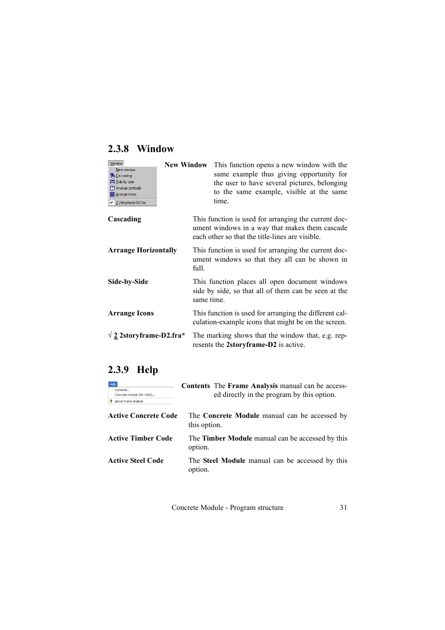## <span id="page-30-0"></span>**2.3.8 Window**

| Window<br>New window<br><b>异</b> Cascading<br>$\blacksquare$ Side by side<br>Arrange vertically<br><b>III</b> Arrange icons<br>✔ 2 2storyframe-D2.fra | <b>New Window</b> | This function opens a new window with the<br>same example thus giving opportunity for<br>the user to have several pictures, belonging<br>to the same example, visible at the same<br>time. |
|-------------------------------------------------------------------------------------------------------------------------------------------------------|-------------------|--------------------------------------------------------------------------------------------------------------------------------------------------------------------------------------------|
| Cascading                                                                                                                                             |                   | This function is used for arranging the current doc-<br>ument windows in a way that makes them cascade<br>each other so that the title-lines are visible.                                  |
| <b>Arrange Horizontally</b>                                                                                                                           | full.             | This function is used for arranging the current doc-<br>ument windows so that they all can be shown in                                                                                     |
| Side-by-Side                                                                                                                                          | same time.        | This function places all open document windows<br>side by side, so that all of them can be seen at the                                                                                     |
| <b>Arrange Icons</b>                                                                                                                                  |                   | This function is used for arranging the different cal-<br>culation-example icons that might be on the screen.                                                                              |
| $\sqrt{2}$ 2storyframe-D2.fra*                                                                                                                        |                   | The marking shows that the window that, e.g. rep-<br>resents the 2storyframe-D2 is active.                                                                                                 |

## **2.3.9 Help**

| Help<br>Contents<br>Concrete module (EN 1992)<br><b>?</b> About Frame Analysis | <b>Contents</b> The <b>Frame Analysis</b> manual can be access-<br>ed directly in the program by this option. |
|--------------------------------------------------------------------------------|---------------------------------------------------------------------------------------------------------------|
| <b>Active Concrete Code</b>                                                    | The <b>Concrete Module</b> manual can be accessed by<br>this option.                                          |
| <b>Active Timber Code</b>                                                      | The <b>Timber Module</b> manual can be accessed by this<br>option.                                            |
| <b>Active Steel Code</b>                                                       | The <b>Steel Module</b> manual can be accessed by this<br>option.                                             |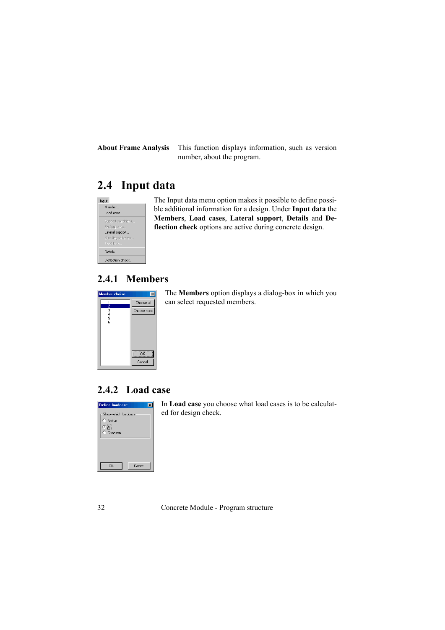<span id="page-31-0"></span>**About Frame Analysis** This function displays information, such as version number, about the program.

# **2.4 Input data**

| Input               |  |
|---------------------|--|
| Member              |  |
| Load case.          |  |
| Support conditions  |  |
| End supports        |  |
| Lateral support     |  |
| Buckling stiffeners |  |
| Load level          |  |
| Details             |  |
| Deflection check –  |  |

The Input data menu option makes it possible to define possible additional information for a design. Under **Input data** the **Members**, **Load cases**, **Lateral support**, **Details** and **Deflection check** options are active during concrete design.

## **2.4.1 Members**



The **Members** option displays a dialog-box in which you can select requested members.

## **2.4.2 Load case**



In **Load case** you choose what load cases is to be calculated for design check.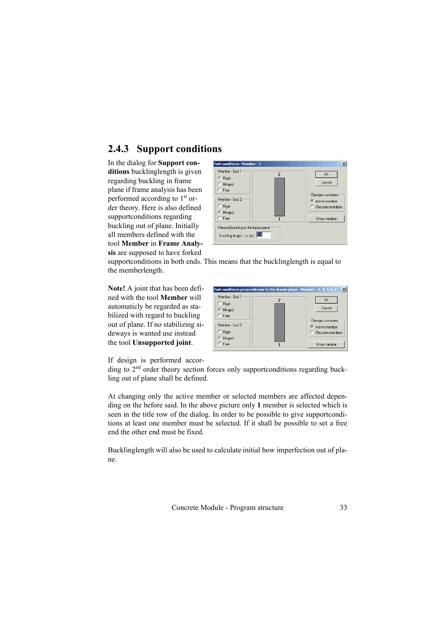## <span id="page-32-0"></span>**2.4.3 Support conditions**

In the dialog for **Support conditions** bucklinglength is given regarding buckling in frame plane if frame analysis has been performed according to  $1<sup>st</sup>$  order theory. Here is also defined supportconditions regarding buckling out of plane. Initially all members defined with the tool **Member** in **Frame Analysis** are supposed to have forked

| <b>End conditions Member - 1</b>                                                                                |                         | $\boldsymbol{\mathsf{x}}$                                                                    |
|-----------------------------------------------------------------------------------------------------------------|-------------------------|----------------------------------------------------------------------------------------------|
| Member - End 1<br>G Rigid<br>C Hinged<br>$C$ Free<br>Member End 2<br>$\subset$ Rigid<br>G Hinged<br>$\cap$ Free | $\overline{\mathbf{r}}$ | <b>OK</b><br>Cancel<br>Changes concerns<br>Active member<br>C Choosen members<br>Show member |
| Flexural buckling in the frame plane<br>Buckling length, Lc (m) 6.4                                             |                         |                                                                                              |

supportconditions in both ends. This means that the bucklinglength is equal to the memberlength.

**Note!** A joint that has been defined with the tool **Member** will automaticly be regarded as stabilized with regard to buckling out of plane. If no stabilizing sideways is wanted use instead the tool **Unsupported joint**.



If design is performed accor-

ding to  $2<sup>nd</sup>$  order theory section forces only supportconditions regarding buckling out of plane shall be defined.

At changing only the active member or selected members are affected depending on the before said. In the above picture only **1** member is selected which is seen in the title row of the dialog. In order to be possible to give supportconditions at least one member must be selected. If it shall be possible to set a free end the other end must be fixed.

Bucklinglength will also be used to calculate initial bow imperfection out of plane.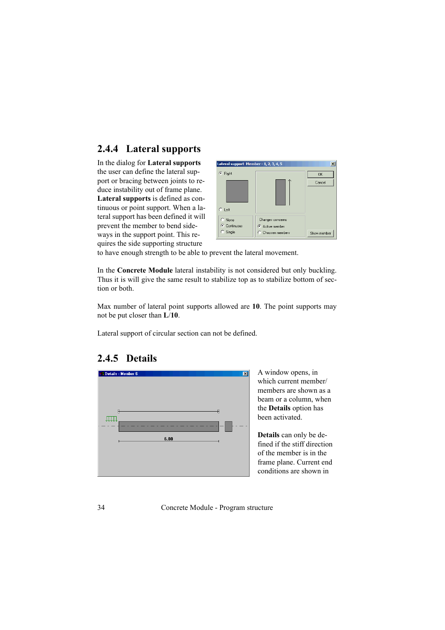## <span id="page-33-0"></span>**2.4.4 Lateral supports**

In the dialog for **Lateral supports** the user can define the lateral support or bracing between joints to reduce instability out of frame plane. **Lateral supports** is defined as continuous or point support. When a lateral support has been defined it will prevent the member to bend sideways in the support point. This requires the side supporting structure

| $\vert x \vert$<br>Lateral support Member - 1, 2, 3, 4, 5 |                   |              |
|-----------------------------------------------------------|-------------------|--------------|
| $\sigma$<br>Right                                         |                   | 0K<br>Cancel |
| $C$ Left                                                  |                   |              |
| C None                                                    | Changes concerns  |              |
| C Continuous                                              | Active member     |              |
| $\degree$ Single                                          | C Choosen members | Show member  |

to have enough strength to be able to prevent the lateral movement.

In the **Concrete Module** lateral instability is not considered but only buckling. Thus it is will give the same result to stabilize top as to stabilize bottom of section or both.

Max number of lateral point supports allowed are **10**. The point supports may not be put closer than **L**/**10**.

Lateral support of circular section can not be defined.

## **2.4.5 Details**



A window opens, in which current member/ members are shown as a beam or a column, when the **Details** option has been activated.

**Details** can only be defined if the stiff direction of the member is in the frame plane. Current end conditions are shown in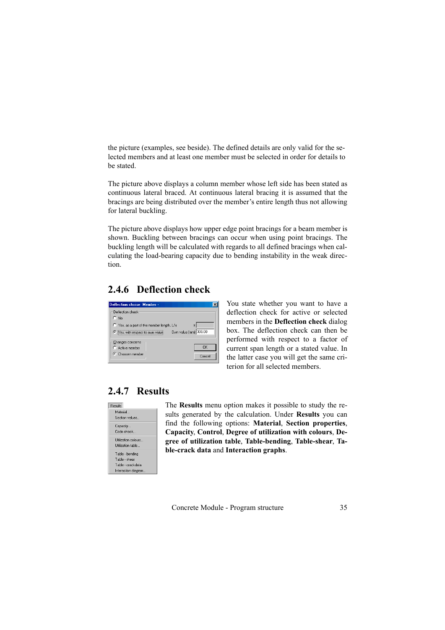<span id="page-34-0"></span>the picture (examples, see beside). The defined details are only valid for the selected members and at least one member must be selected in order for details to be stated.

The picture above displays a column member whose left side has been stated as continuous lateral braced. At continuous lateral bracing it is assumed that the bracings are being distributed over the member's entire length thus not allowing for lateral buckling.

The picture above displays how upper edge point bracings for a beam member is shown. Buckling between bracings can occur when using point bracings. The buckling length will be calculated with regards to all defined bracings when calculating the load-bearing capacity due to bending instability in the weak direction.

## **2.4.6 Deflection check**



You state whether you want to have a deflection check for active or selected members in the **Deflection check** dialog box. The deflection check can then be performed with respect to a factor of current span length or a stated value. In the latter case you will get the same criterion for all selected members.

# **2.4.7 Results**



The **Results** menu option makes it possible to study the results generated by the calculation. Under **Results** you can find the following options: **Material**, **Section properties**, **Capacity**, **Control**, **Degree of utilization with colours**, **Degree of utilization table**, **Table-bending**, **Table-shear**, **Table-crack data** and **Interaction graphs**.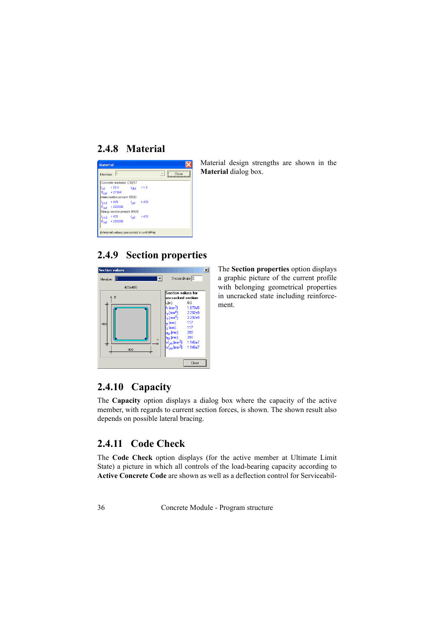## <span id="page-35-0"></span>**2.4.8 Material**

| <b>Material</b>                                                    |         |
|--------------------------------------------------------------------|---------|
| Member                                                             | nse     |
| Concrete material: C30/37                                          |         |
| $= 20.0$<br>fetd.<br>l <sup>t</sup> od<br>$E_{\text{ref}} = 27364$ | $-14$   |
| Main reinforcement: B500                                           |         |
| $= 435$<br>fvd<br>lyed<br>$E_{\rm sd}$<br>$= 200000$               | $= 435$ |
| Stirrup reinforcement: B500                                        |         |
| $-435$<br>fvd.<br>lyed.<br>$E_{sd}$ = 200000                       | $-435$  |
| (Material values presented in unit MPa)                            |         |

Material design strengths are shown in the **Material** dialog box.

## **2.4.9 Section properties**



The **Section properties** option displays a graphic picture of the current profile with belonging geometrical properties in uncracked state including reinforcement.

## **2.4.10 Capacity**

The **Capacity** option displays a dialog box where the capacity of the active member, with regards to current section forces, is shown. The shown result also depends on possible lateral bracing.

## **2.4.11 Code Check**

The **Code Check** option displays (for the active member at Ultimate Limit State) a picture in which all controls of the load-bearing capacity according to **Active Concrete Code** are shown as well as a deflection control for Serviceabil-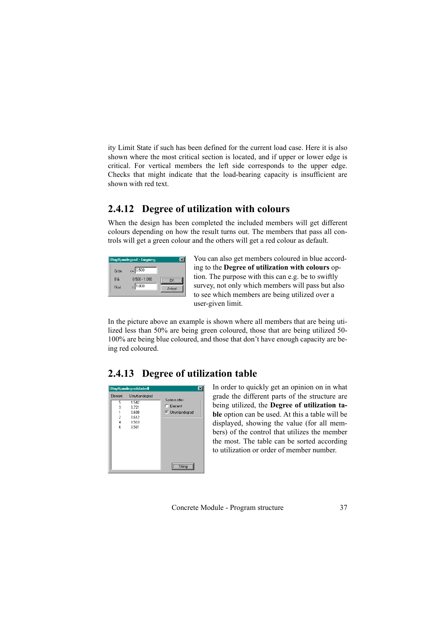ity Limit State if such has been defined for the current load case. Here it is also shown where the most critical section is located, and if upper or lower edge is critical. For vertical members the left side corresponds to the upper edge. Checks that might indicate that the load-bearing capacity is insufficient are shown with red text.

## **2.4.12 Degree of utilization with colours**

When the design has been completed the included members will get different colours depending on how the result turns out. The members that pass all controls will get a green colour and the others will get a red colour as default.

|            | Utnyttjandegrad - färgning  |        |
|------------|-----------------------------|--------|
| Grön       | $\left  \right  \leq 0.500$ |        |
| Blå        | $0.500 - 1.000$             |        |
| <b>Bod</b> | $_>$ 1.000                  | Avbryt |
|            |                             |        |

You can also get members coloured in blue according to the **Degree of utilization with colours** option. The purpose with this can e.g. be to swiftly survey, not only which members will pass but also to see which members are being utilized over a user-given limit.

In the picture above an example is shown where all members that are being utilized less than 50% are being green coloured, those that are being utilized 50- 100% are being blue coloured, and those that don't have enough capacity are being red coloured.

## **2.4.13 Degree of utilization table**

|         | Utnyttjandegradstabell |                   |
|---------|------------------------|-------------------|
| Element | Utnyttjandegrad        | Sortera efter     |
| 5       | 1.542                  |                   |
| 3       | 0.721                  | $C$ Element       |
|         | 0.688                  | C Utnyttjandegrad |
| 2       | 0.612                  |                   |
| 4       | 0.563                  |                   |
| Ŕ       | 0.561                  |                   |
|         |                        |                   |
|         |                        |                   |
|         |                        |                   |
|         |                        |                   |
|         |                        |                   |
|         |                        |                   |
|         |                        |                   |
|         |                        | Ständ             |

In order to quickly get an opinion on in what grade the different parts of the structure are being utilized, the **Degree of utilization table** option can be used. At this a table will be displayed, showing the value (for all members) of the control that utilizes the member the most. The table can be sorted according to utilization or order of member number.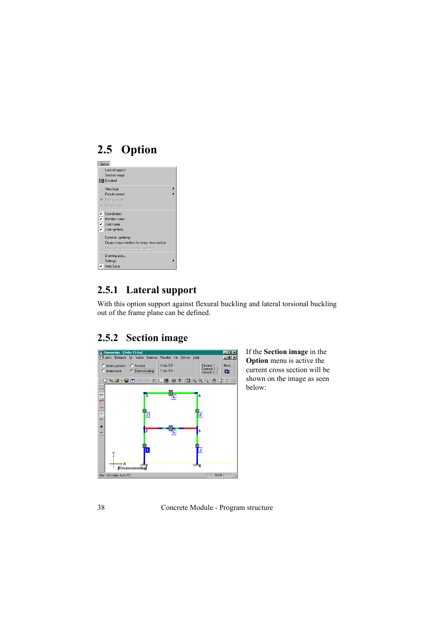# **2.5 Option**

| Option                                     |  |
|--------------------------------------------|--|
| Lateral support                            |  |
| Section image                              |  |
| I-M Detailed                               |  |
| View type                                  |  |
| Result colours                             |  |
| + Enlarge scale                            |  |
| - Reduce scale                             |  |
| Coordinates                                |  |
| Member name                                |  |
| ✓<br>Joint name                            |  |
| Joint symbols                              |  |
| Dynamic updating                           |  |
| Create a new window for every view section |  |
| Show message at dynamic updating           |  |
| Drawing area                               |  |
| Settings                                   |  |
| Auto Save                                  |  |

## **2.5.1 Lateral support**

With this option support against flexural buckling and lateral torsional buckling out of the frame plane can be defined.

## **2.5.2 Section image**



If the **Section image** in the **Option** menu is active the current cross section will be shown on the image as seen below: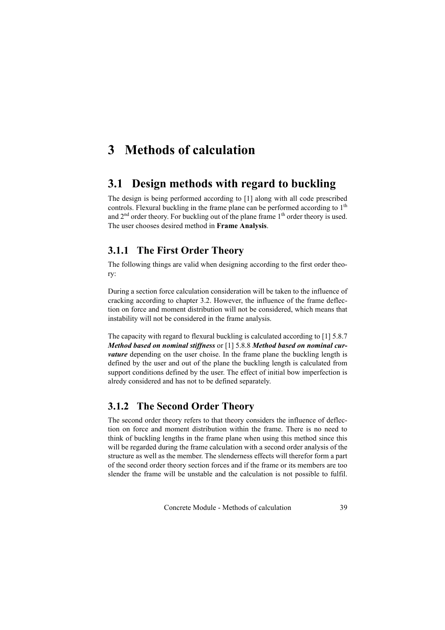# **3 Methods of calculation**

# **3.1 Design methods with regard to buckling**

The design is being performed according to [1] along with all code prescribed controls. Flexural buckling in the frame plane can be performed according to  $1<sup>th</sup>$ and  $2<sup>nd</sup>$  order theory. For buckling out of the plane frame  $1<sup>th</sup>$  order theory is used. The user chooses desired method in **Frame Analysis**.

## **3.1.1 The First Order Theory**

The following things are valid when designing according to the first order theory:

During a section force calculation consideration will be taken to the influence of cracking according to chapter [3.2.](#page-39-0) However, the influence of the frame deflection on force and moment distribution will not be considered, which means that instability will not be considered in the frame analysis.

The capacity with regard to flexural buckling is calculated according to [1] 5.8.7 *Method based on nominal stiffness* or [1] 5.8.8 *Method based on nominal curvature* depending on the user choise. In the frame plane the buckling length is defined by the user and out of the plane the buckling length is calculated from support conditions defined by the user. The effect of initial bow imperfection is alredy considered and has not to be defined separately.

## **3.1.2 The Second Order Theory**

The second order theory refers to that theory considers the influence of deflection on force and moment distribution within the frame. There is no need to think of buckling lengths in the frame plane when using this method since this will be regarded during the frame calculation with a second order analysis of the structure as well as the member. The slenderness effects will therefor form a part of the second order theory section forces and if the frame or its members are too slender the frame will be unstable and the calculation is not possible to fulfil.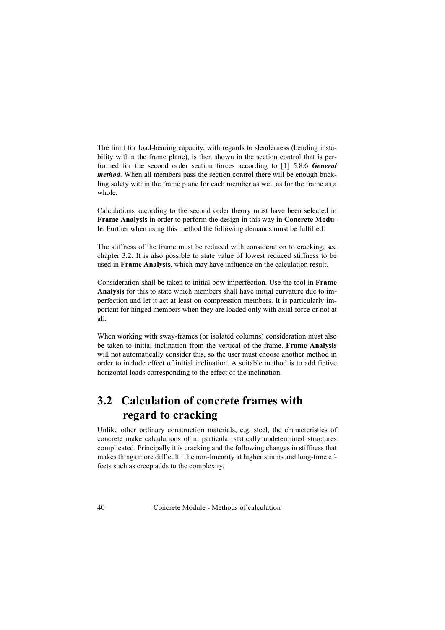<span id="page-39-0"></span>The limit for load-bearing capacity, with regards to slenderness (bending instability within the frame plane), is then shown in the section control that is performed for the second order section forces according to [1] 5.8.6 *General method*. When all members pass the section control there will be enough buckling safety within the frame plane for each member as well as for the frame as a whole.

Calculations according to the second order theory must have been selected in **Frame Analysis** in order to perform the design in this way in **Concrete Module**. Further when using this method the following demands must be fulfilled:

The stiffness of the frame must be reduced with consideration to cracking, see chapter 3.2. It is also possible to state value of lowest reduced stiffness to be used in **Frame Analysis**, which may have influence on the calculation result.

Consideration shall be taken to initial bow imperfection. Use the tool in **Frame Analysis** for this to state which members shall have initial curvature due to imperfection and let it act at least on compression members. It is particularly important for hinged members when they are loaded only with axial force or not at all.

When working with sway-frames (or isolated columns) consideration must also be taken to initial inclination from the vertical of the frame. **Frame Analysis** will not automatically consider this, so the user must choose another method in order to include effect of initial inclination. A suitable method is to add fictive horizontal loads corresponding to the effect of the inclination.

# **3.2 Calculation of concrete frames with regard to cracking**

Unlike other ordinary construction materials, e.g. steel, the characteristics of concrete make calculations of in particular statically undetermined structures complicated. Principally it is cracking and the following changes in stiffness that makes things more difficult. The non-linearity at higher strains and long-time effects such as creep adds to the complexity.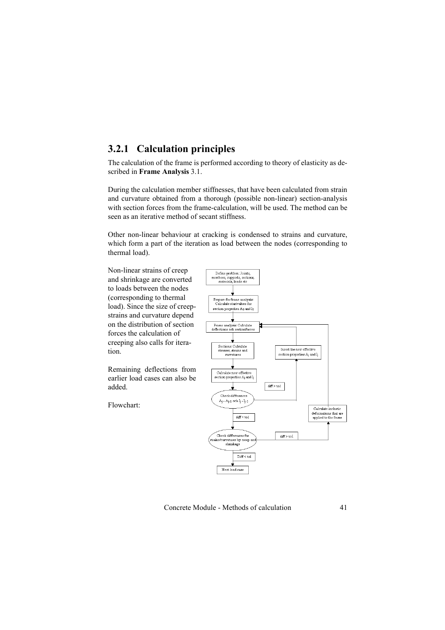## **3.2.1 Calculation principles**

The calculation of the frame is performed according to theory of elasticity as described in **Frame Analysis** 3.1.

During the calculation member stiffnesses, that have been calculated from strain and curvature obtained from a thorough (possible non-linear) section-analysis with section forces from the frame-calculation, will be used. The method can be seen as an iterative method of secant stiffness.

Other non-linear behaviour at cracking is condensed to strains and curvature, which form a part of the iteration as load between the nodes (corresponding to thermal load).

Non-linear strains of creep and shrinkage are converted to loads between the nodes (corresponding to thermal load). Since the size of creepstrains and curvature depend on the distribution of section forces the calculation of creeping also calls for iteration.

Remaining deflections from earlier load cases can also be added.

Flowchart:

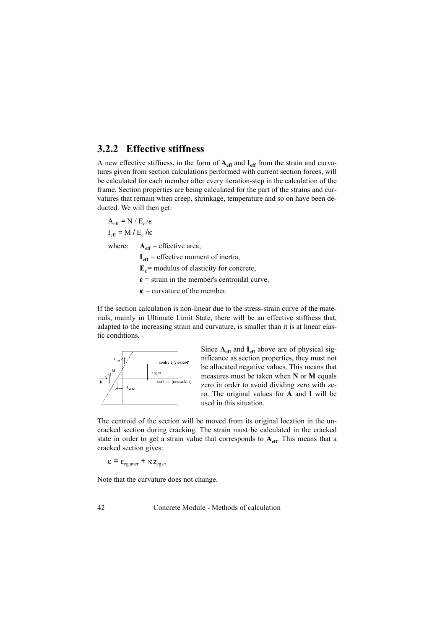## <span id="page-41-0"></span>**3.2.2 Effective stiffness**

A new effective stiffness, in the form of  $A_{\text{eff}}$  and  $I_{\text{eff}}$  from the strain and curvatures given from section calculations performed with current section forces, will be calculated for each member after every iteration-step in the calculation of the frame. Section properties are being calculated for the part of the strains and curvatures that remain when creep, shrinkage, temperature and so on have been deducted. We will then get:

$$
A_{eff} = N / E_c / \epsilon
$$
  
\n
$$
I_{eff} = M / E_c / \kappa
$$
  
\nwhere:  
\n
$$
A_{eff} = \text{effective area,}
$$
  
\n
$$
I_{eff} = \text{effective moment of inertia,}
$$
  
\n
$$
E_c = \text{modulus of elasticity for concrete,}
$$
  
\n
$$
\epsilon = \text{strain in the member's centroidal curve,}
$$
  
\n
$$
\kappa = \text{curvature of the member.}
$$

If the section calculation is non-linear due to the stress-strain curve of the materials, mainly in Ultimate Limit State, there will be an effective stiffness that, adapted to the increasing strain and curvature, is smaller than it is at linear elastic conditions.



Since  $A_{\text{eff}}$  and  $I_{\text{eff}}$  above are of physical significance as section properties, they must not be allocated negative values. This means that measures must be taken when **N** or **M** equals zero in order to avoid dividing zero with zero. The original values for **A** and **I** will be used in this situation.

The centroid of the section will be moved from its original location in the uncracked section during cracking. The strain must be calculated in the cracked state in order to get a strain value that corresponds to  $A<sub>eff</sub>$ . This means that a cracked section gives:

$$
\varepsilon = \varepsilon_{\text{cg,uncr}} + \kappa z_{\text{cg,cr}}
$$

Note that the curvature does not change.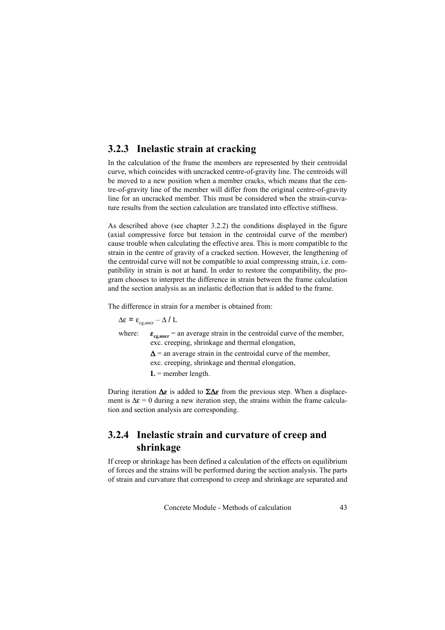## **3.2.3 Inelastic strain at cracking**

In the calculation of the frame the members are represented by their centroidal curve, which coincides with uncracked centre-of-gravity line. The centroids will be moved to a new position when a member cracks, which means that the centre-of-gravity line of the member will differ from the original centre-of-gravity line for an uncracked member. This must be considered when the strain-curvature results from the section calculation are translated into effective stiffness.

As described above (see chapter [3.2.2\)](#page-41-0) the conditions displayed in the figure (axial compressive force but tension in the centroidal curve of the member) cause trouble when calculating the effective area. This is more compatible to the strain in the centre of gravity of a cracked section. However, the lengthening of the centroidal curve will not be compatible to axial compressing strain, i.e. compatibility in strain is not at hand. In order to restore the compatibility, the program chooses to interpret the difference in strain between the frame calculation and the section analysis as an inelastic deflection that is added to the frame.

The difference in strain for a member is obtained from:

 $\Delta \varepsilon = \varepsilon_{\text{c}g\text{-inter}} - \Delta / L$ 

where:  $\epsilon_{\text{c}g,nner}$  = an average strain in the centroidal curve of the member, exc. creeping, shrinkage and thermal elongation,

> $\Delta$  = an average strain in the centroidal curve of the member, exc. creeping, shrinkage and thermal elongation,

 $L$  = member length.

During iteration  $\Delta \varepsilon$  is added to  $\Sigma \Delta \varepsilon$  from the previous step. When a displacement is  $\Delta \varepsilon = 0$  during a new iteration step, the strains within the frame calculation and section analysis are corresponding.

## **3.2.4 Inelastic strain and curvature of creep and shrinkage**

If creep or shrinkage has been defined a calculation of the effects on equilibrium of forces and the strains will be performed during the section analysis. The parts of strain and curvature that correspond to creep and shrinkage are separated and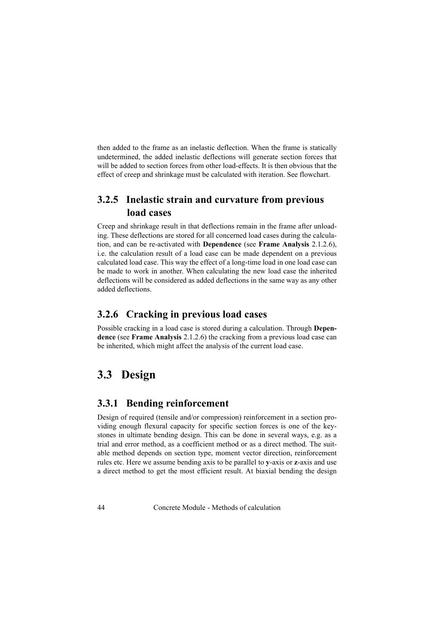then added to the frame as an inelastic deflection. When the frame is statically undetermined, the added inelastic deflections will generate section forces that will be added to section forces from other load-effects. It is then obvious that the effect of creep and shrinkage must be calculated with iteration. See flowchart.

## **3.2.5 Inelastic strain and curvature from previous load cases**

Creep and shrinkage result in that deflections remain in the frame after unloading. These deflections are stored for all concerned load cases during the calculation, and can be re-activated with **Dependence** (see **Frame Analysis** 2.1.2.6), i.e. the calculation result of a load case can be made dependent on a previous calculated load case. This way the effect of a long-time load in one load case can be made to work in another. When calculating the new load case the inherited deflections will be considered as added deflections in the same way as any other added deflections.

## **3.2.6 Cracking in previous load cases**

Possible cracking in a load case is stored during a calculation. Through **Dependence** (see **Frame Analysis** 2.1.2.6) the cracking from a previous load case can be inherited, which might affect the analysis of the current load case.

# **3.3 Design**

## **3.3.1 Bending reinforcement**

Design of required (tensile and/or compression) reinforcement in a section providing enough flexural capacity for specific section forces is one of the keystones in ultimate bending design. This can be done in several ways, e.g. as a trial and error method, as a coefficient method or as a direct method. The suitable method depends on section type, moment vector direction, reinforcement rules etc. Here we assume bending axis to be parallel to **y**-axis or **z**-axis and use a direct method to get the most efficient result. At biaxial bending the design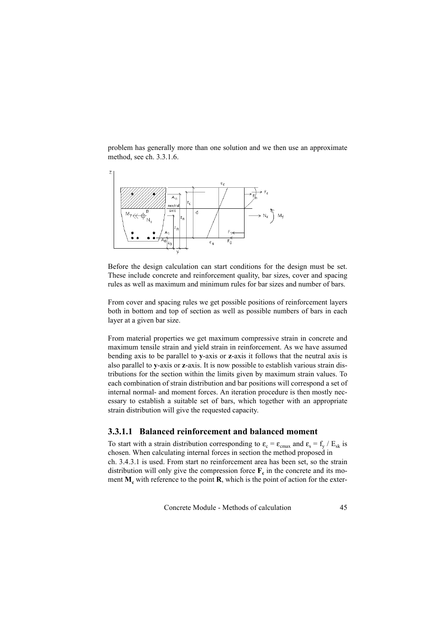problem has generally more than one solution and we then use an approximate method, see ch. [3.3.1.6.](#page-50-0)



Before the design calculation can start conditions for the design must be set. These include concrete and reinforcement quality, bar sizes, cover and spacing rules as well as maximum and minimum rules for bar sizes and number of bars.

From cover and spacing rules we get possible positions of reinforcement layers both in bottom and top of section as well as possible numbers of bars in each layer at a given bar size.

From material properties we get maximum compressive strain in concrete and maximum tensile strain and yield strain in reinforcement. As we have assumed bending axis to be parallel to **y**-axis or **z**-axis it follows that the neutral axis is also parallel to **y**-axis or **z**-axis. It is now possible to establish various strain distributions for the section within the limits given by maximum strain values. To each combination of strain distribution and bar positions will correspond a set of internal normal- and moment forces. An iteration procedure is then mostly necessary to establish a suitable set of bars, which together with an appropriate strain distribution will give the requested capacity.

### **3.3.1.1 Balanced reinforcement and balanced moment**

To start with a strain distribution corresponding to  $\varepsilon_c = \varepsilon_{cmax}$  and  $\varepsilon_s = f_y / E_{sk}$  is chosen. When calculating internal forces in section the method proposed in ch. [3.4.3.1](#page-64-0) is used. From start no reinforcement area has been set, so the strain distribution will only give the compression force  $\mathbf{F}_c$  in the concrete and its moment  $M_c$  with reference to the point **R**, which is the point of action for the exter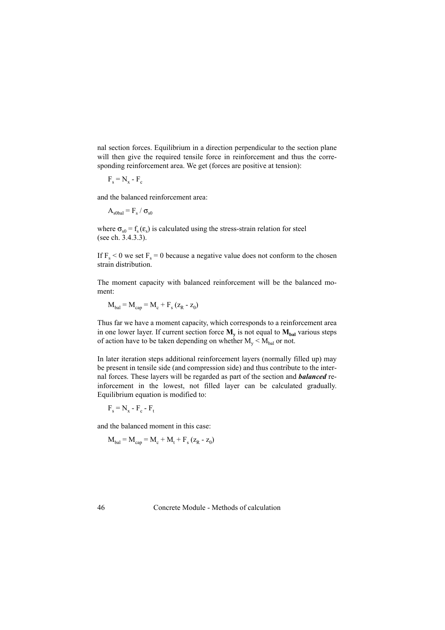nal section forces. Equilibrium in a direction perpendicular to the section plane will then give the required tensile force in reinforcement and thus the corresponding reinforcement area. We get (forces are positive at tension):

$$
F_s = N_x - F_c
$$

and the balanced reinforcement area:

$$
A_{\text{solbal}} = F_{\text{s}} / \sigma_{\text{s0}}
$$

where  $\sigma_{\rm so} = f_{\rm s}(\epsilon_{\rm s})$  is calculated using the stress-strain relation for steel (see ch. [3.4.3.3\)](#page-67-0).

If  $F_s < 0$  we set  $F_s = 0$  because a negative value does not conform to the chosen strain distribution.

The moment capacity with balanced reinforcement will be the balanced moment:

 $M_{bal} = M_{can} = M_c + F_s (z_R - z_0)$ 

Thus far we have a moment capacity, which corresponds to a reinforcement area in one lower layer. If current section force  $M_v$  is not equal to  $M_{bal}$  various steps of action have to be taken depending on whether  $M_v < M_{bal}$  or not.

In later iteration steps additional reinforcement layers (normally filled up) may be present in tensile side (and compression side) and thus contribute to the internal forces. These layers will be regarded as part of the section and *balanced* reinforcement in the lowest, not filled layer can be calculated gradually. Equilibrium equation is modified to:

$$
F_s = N_x - F_c - F_t
$$

and the balanced moment in this case:

 $M_{bal} = M_{cap} = M_c + M_t + F_s (z_R - z_0)$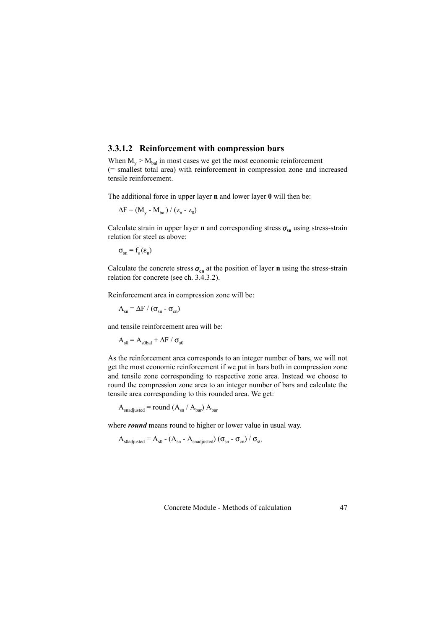### <span id="page-46-0"></span>**3.3.1.2 Reinforcement with compression bars**

When  $M_v > M_{hal}$  in most cases we get the most economic reinforcement (= smallest total area) with reinforcement in compression zone and increased tensile reinforcement.

The additional force in upper layer **n** and lower layer **0** will then be:

$$
\Delta F = (M_y - M_{bal}) / (z_n - z_0)
$$

Calculate strain in upper layer **n** and corresponding stress  $\sigma_{sn}$  using stress-strain relation for steel as above:

$$
\sigma_{\rm sn} = f_{\rm s}(\epsilon_{\rm n})
$$

Calculate the concrete stress  $\sigma_{cn}$  at the position of layer **n** using the stress-strain relation for concrete (see ch. [3.4.3.2](#page-66-0)).

Reinforcement area in compression zone will be:

 $A_{\rm cn} = \Delta F / (\sigma_{\rm cn} - \sigma_{\rm cn})$ 

and tensile reinforcement area will be:

$$
A_{s0} = A_{s0bal} + \Delta F / \sigma_{s0}
$$

As the reinforcement area corresponds to an integer number of bars, we will not get the most economic reinforcement if we put in bars both in compression zone and tensile zone corresponding to respective zone area. Instead we choose to round the compression zone area to an integer number of bars and calculate the tensile area corresponding to this rounded area. We get:

 $A_{snadjusted} = round (A_{sn} / A_{bar}) A_{bar}$ 

where *round* means round to higher or lower value in usual way.

$$
A_{\text{s0adjused}} = A_{\text{s0}} - (A_{\text{sn}} - A_{\text{snadivsted}}) (\sigma_{\text{sn}} - \sigma_{\text{cn}}) / \sigma_{\text{s0}}
$$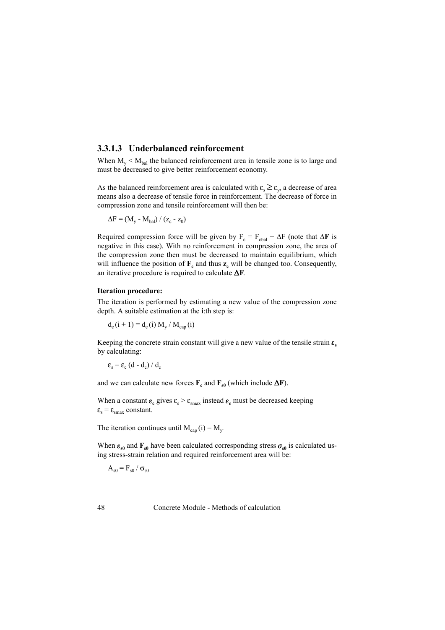### <span id="page-47-0"></span>**3.3.1.3 Underbalanced reinforcement**

When  $M_{v}$  <  $M_{hal}$  the balanced reinforcement area in tensile zone is to large and must be decreased to give better reinforcement economy.

As the balanced reinforcement area is calculated with  $\epsilon_{s} \geq \epsilon_{\nu}$  a decrease of area means also a decrease of tensile force in reinforcement. The decrease of force in compression zone and tensile reinforcement will then be:

$$
\Delta F = (M_y - M_{bal}) / (z_c - z_0)
$$

Required compression force will be given by  $F_c = F_{chal} + \Delta F$  (note that  $\Delta F$  is negative in this case). With no reinforcement in compression zone, the area of the compression zone then must be decreased to maintain equilibrium, which will influence the position of  $\mathbf{F}_c$  and thus  $\mathbf{z}_c$  will be changed too. Consequently, an iterative procedure is required to calculate ∆**F**.

#### **Iteration procedure:**

The iteration is performed by estimating a new value of the compression zone depth. A suitable estimation at the **i**:th step is:

$$
d_c(i + 1) = d_c(i) M_y / M_{cap}(i)
$$

Keeping the concrete strain constant will give a new value of the tensile strain  $\epsilon$ . by calculating:

$$
\varepsilon_{\rm s} = \varepsilon_{\rm c} \left( d - d_{\rm c} \right) / d_{\rm c}
$$

and we can calculate new forces  $\mathbf{F}_c$  and  $\mathbf{F}_{s0}$  (which include  $\Delta \mathbf{F}$ ).

When a constant  $\epsilon_{\rm c}$  gives  $\epsilon_{\rm s} > \epsilon_{\rm smax}$  instead  $\epsilon_{\rm c}$  must be decreased keeping  $\epsilon_{\rm s} = \epsilon_{\rm smax}$  constant.

The iteration continues until  $M_{\text{can}}(i) = M_{v}$ .

When  $\varepsilon_{s0}$  and  $\mathbf{F}_{s0}$  have been calculated corresponding stress  $\sigma_{s0}$  is calculated using stress-strain relation and required reinforcement area will be:

$$
A_{s0} \equiv F_{s0} \mathbin{/} \sigma_{s0}
$$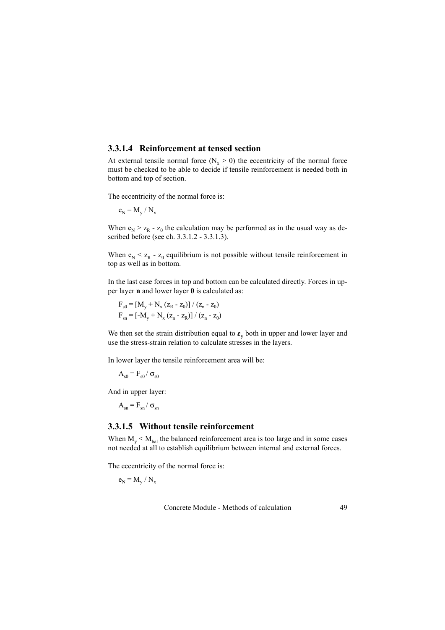### **3.3.1.4 Reinforcement at tensed section**

At external tensile normal force  $(N_r > 0)$  the eccentricity of the normal force must be checked to be able to decide if tensile reinforcement is needed both in bottom and top of section.

The eccentricity of the normal force is:

$$
e_N = M_y / N_x
$$

When  $e_N > z_R - z_0$  the calculation may be performed as in the usual way as described before (see ch. [3.3.1.2](#page-46-0) - [3.3.1.3](#page-47-0)).

When  $e_N < z_R - z_0$  equilibrium is not possible without tensile reinforcement in top as well as in bottom.

In the last case forces in top and bottom can be calculated directly. Forces in upper layer **n** and lower layer **0** is calculated as:

$$
F_{s0} = [M_y + N_x (z_R - z_0)] / (z_n - z_0)
$$
  
\n
$$
F_{sn} = [-M_y + N_x (z_n - z_R)] / (z_n - z_0)
$$

We then set the strain distribution equal to  $\varepsilon$ <sub>y</sub> both in upper and lower layer and use the stress-strain relation to calculate stresses in the layers.

In lower layer the tensile reinforcement area will be:

$$
A_{s0} \equiv F_{s0} \,/\, \sigma_{s0}
$$

And in upper layer:

$$
A_{sn} = F_{sn} / \sigma_{sn}
$$

### **3.3.1.5 Without tensile reinforcement**

When  $M_v < M_{hal}$  the balanced reinforcement area is too large and in some cases not needed at all to establish equilibrium between internal and external forces.

The eccentricity of the normal force is:

$$
e_N = M_y / N_x
$$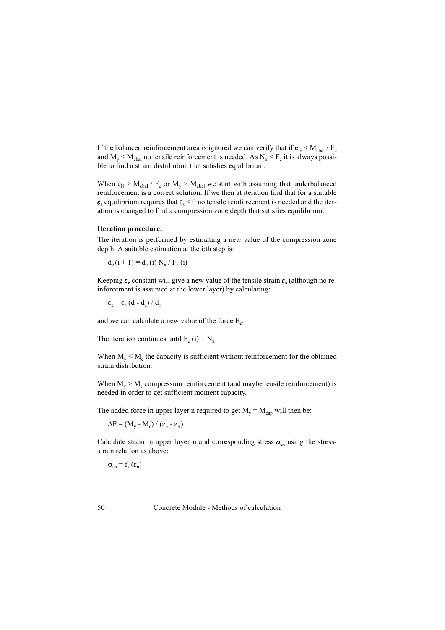If the balanced reinforcement area is ignored we can verify that if  $e_N < M_{\text{chal}}/F_c$ and  $M_v < M_{\text{chal}}$  no tensile reinforcement is needed. As  $N_v < F_c$  it is always possible to find a strain distribution that satisfies equilibrium.

When  $e_N > M_{\text{chal}}$  / F<sub>c</sub> or  $M_v > M_{\text{chal}}$  we start with assuming that underbalanced reinforcement is a correct solution. If we then at iteration find that for a suitable  $\epsilon_{\rm s}$  equilibrium requires that  $\epsilon_{\rm s}$  < 0 no tensile reinforcement is needed and the iteration is changed to find a compression zone depth that satisfies equilibrium.

#### **Iteration procedure:**

The iteration is performed by estimating a new value of the compression zone depth. A suitable estimation at the **i**:th step is:

 $d_c(i + 1) = d_c(i) N_r / F_c(i)$ 

Keeping  $\epsilon$  constant will give a new value of the tensile strain  $\epsilon$  (although no reinforcement is assumed at the lower layer) by calculating:

$$
\varepsilon_{\rm s} = \varepsilon_{\rm c} \left( d - d_{\rm c} \right) / d_{\rm c}
$$

and we can calculate a new value of the force  $\mathbf{F}_{c}$ .

The iteration continues until  $F_c$  (i) = N<sub>x</sub>

When  $M_v < M_c$ , the capacity is sufficient without reinforcement for the obtained strain distribution.

When  $M_v > M_c$  compression reinforcement (and maybe tensile reinforcement) is needed in order to get sufficient moment capacity.

The added force in upper layer n required to get  $M_v = M_{cap}$  will then be:

 $\Delta F = (M_v - M_c) / (z_p - z_p)$ 

Calculate strain in upper layer **n** and corresponding stress  $\sigma_{\rm cn}$  using the stressstrain relation as above:

$$
\sigma_{_{\text{S}\!n}}\!=f_{_{\text{S}}}\left(\epsilon_{_{\text{n}}}\right)
$$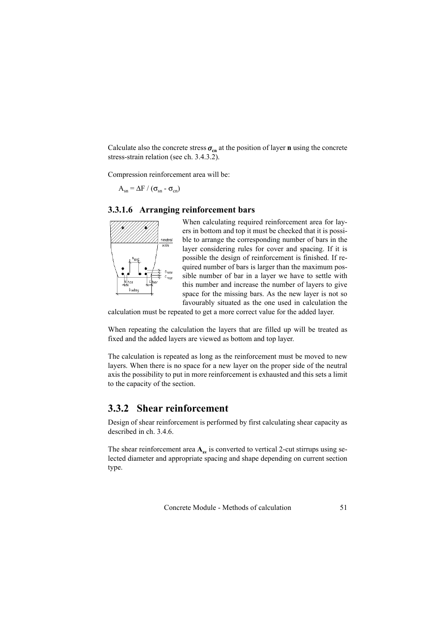<span id="page-50-0"></span>Calculate also the concrete stress  $\sigma_{cn}$  at the position of layer **n** using the concrete stress-strain relation (see ch. [3.4.3.2](#page-66-0)).

Compression reinforcement area will be:

 $A_{\rm sn} = \Delta F / (\sigma_{\rm sn} - \sigma_{\rm cn})$ 

### **3.3.1.6 Arranging reinforcement bars**



When calculating required reinforcement area for layers in bottom and top it must be checked that it is possible to arrange the corresponding number of bars in the layer considering rules for cover and spacing. If it is possible the design of reinforcement is finished. If required number of bars is larger than the maximum possible number of bar in a layer we have to settle with this number and increase the number of layers to give space for the missing bars. As the new layer is not so favourably situated as the one used in calculation the

calculation must be repeated to get a more correct value for the added layer.

When repeating the calculation the layers that are filled up will be treated as fixed and the added layers are viewed as bottom and top layer.

The calculation is repeated as long as the reinforcement must be moved to new layers. When there is no space for a new layer on the proper side of the neutral axis the possibility to put in more reinforcement is exhausted and this sets a limit to the capacity of the section.

## **3.3.2 Shear reinforcement**

Design of shear reinforcement is performed by first calculating shear capacity as described in ch. [3.4.6](#page-69-0).

The shear reinforcement area  $A_{\rm sv}$  is converted to vertical 2-cut stirrups using selected diameter and appropriate spacing and shape depending on current section type.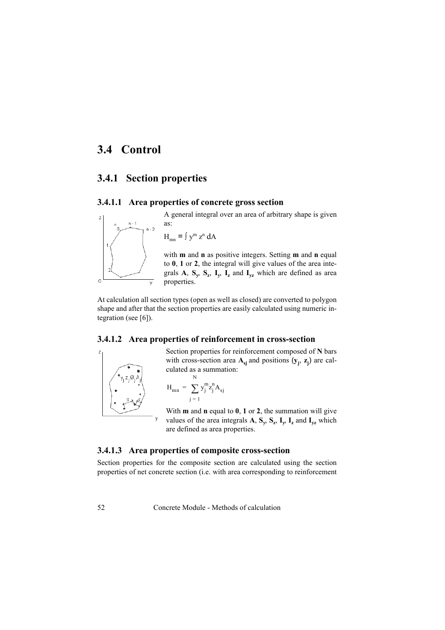## <span id="page-51-0"></span>**3.4 Control**

## **3.4.1 Section properties**

### **3.4.1.1 Area properties of concrete gross section**

z  $n - 1$  $n - 2$  $\mathcal{C}$ 

A general integral over an area of arbitrary shape is given as:

$$
H_{mn} = \int y^m z^n dA
$$

with **m** and **n** as positive integers. Setting **m** and **n** equal to **0**, **1** or **2**, the integral will give values of the area integrals **A**,  $S_y$ ,  $S_z$ ,  $I_y$ ,  $I_z$  and  $I_{yz}$  which are defined as area properties.

At calculation all section types (open as well as closed) are converted to polygon shape and after that the section properties are easily calculated using numeric integration (see [6]).

### **3.4.1.2 Area properties of reinforcement in cross-section**



Section properties for reinforcement composed of **N** bars with cross-section area  $A_{sj}$  and positions  $(y_j, z_j)$  are calculated as a summation:

$$
H_{mn} = \sum_{j=1}^{N} y_j^m z_j^n A_{sj}
$$

With **m** and **n** equal to **0**, **1** or **2**, the summation will give values of the area integrals  $A$ ,  $S_v$ ,  $S_z$ ,  $I_v$ ,  $I_z$  and  $I_{vz}$  which are defined as area properties.

### **3.4.1.3 Area properties of composite cross-section**

Section properties for the composite section are calculated using the section properties of net concrete section (i.e. with area corresponding to reinforcement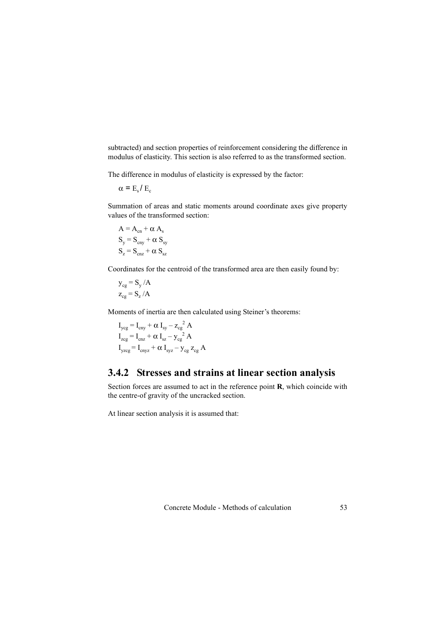<span id="page-52-0"></span>subtracted) and section properties of reinforcement considering the difference in modulus of elasticity. This section is also referred to as the transformed section.

The difference in modulus of elasticity is expressed by the factor:

$$
\alpha = \mathrm{E}_{\mathrm{s}} / \mathrm{E}_{\mathrm{c}}
$$

Summation of areas and static moments around coordinate axes give property values of the transformed section:

$$
A = A_{cn} + \alpha A_s
$$
  
\n
$$
S_y = S_{cny} + \alpha S_{sy}
$$
  
\n
$$
S_z = S_{cnz} + \alpha S_{sz}
$$

Coordinates for the centroid of the transformed area are then easily found by:

$$
y_{cg} = S_y / A
$$

$$
z_{cg} = S_z / A
$$

Moments of inertia are then calculated using Steiner's theorems:

$$
I_{ycg} = I_{cny} + \alpha I_{sy} - z_{cg}^2 A
$$
  
\n
$$
I_{zcg} = I_{cnz} + \alpha I_{sz} - y_{cg}^2 A
$$
  
\n
$$
I_{yzcg} = I_{cnyz} + \alpha I_{syz} - y_{cg} z_{cg} A
$$

## **3.4.2 Stresses and strains at linear section analysis**

Section forces are assumed to act in the reference point **R**, which coincide with the centre-of gravity of the uncracked section.

At linear section analysis it is assumed that: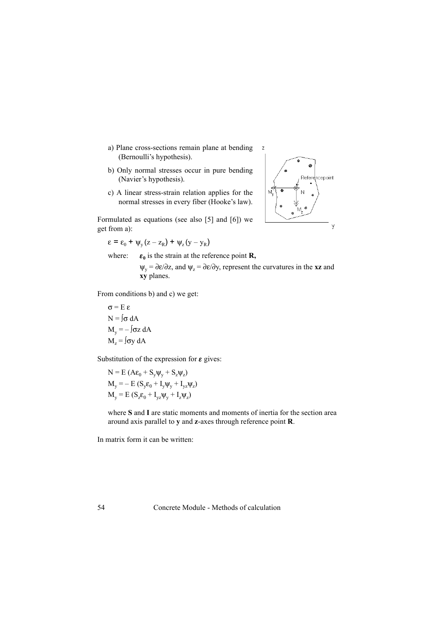- a) Plane cross-sections remain plane at bending (Bernoulli's hypothesis).
- b) Only normal stresses occur in pure bending (Navier's hypothesis).
- c) A linear stress-strain relation applies for the normal stresses in every fiber (Hooke's law).

Formulated as equations (see also [5] and [6]) we get from a):

 $\varepsilon = \varepsilon_0 + \psi_y (z - z_R) + \psi_z (y - y_R)$ 



where:  $\epsilon_0$  is the strain at the reference point **R**,  $ψ<sub>v</sub> = δε/∂z$ , and  $ψ<sub>z</sub> = δε/∂y$ , represent the curvatures in the **xz** and **xy** planes.

From conditions b) and c) we get:

$$
\sigma = E \varepsilon
$$
  
N =  $\int \sigma dA$   
M<sub>y</sub> =  $-\int \sigma z dA$   
M<sub>z</sub> =  $\int \sigma y dA$ 

Substitution of the expression for  $\varepsilon$  gives:

$$
N = E (A\epsilon_0 + S_y \psi_y + S_z \psi_z)
$$
  
\n
$$
M_y = - E (S_y \epsilon_0 + I_y \psi_y + I_{yz} \psi_z)
$$
  
\n
$$
M_y = E (S_z \epsilon_0 + I_{yz} \psi_y + I_z \psi_z)
$$

where **S** and **I** are static moments and moments of inertia for the section area around axis parallel to **y** and **z**-axes through reference point **R**.

In matrix form it can be written: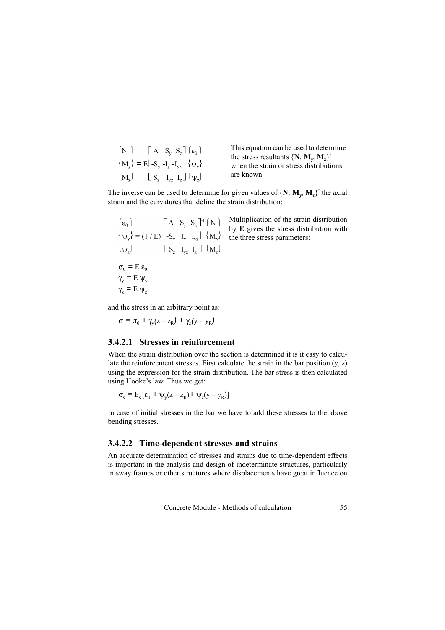<span id="page-54-0"></span>
$$
\begin{array}{ll}\n\text{[N]} & \begin{bmatrix} A & S_y & S_z \end{bmatrix} \begin{bmatrix} \varepsilon_0 \\ \varepsilon_0 \end{bmatrix} & \text{This equation can be used to determine} \\
\text{the stress resultants } \{N, M_y, M_z\}^t \\
\text{when the strain or stress distributions} \\
\text{[N]} & \begin{bmatrix} S_z & I_{yz} & I_z \end{bmatrix} \begin{bmatrix} \psi_y \end{bmatrix} & \text{are known.} \\
\text{are known.} \\
\end{array}
$$

The inverse can be used to determine for given values of  $\{N, M_{v}, M_{z}\}^{\dagger}$  the axial strain and the curvatures that define the strain distribution:

$$
\begin{aligned}\n\lceil \epsilon_0 \rceil & \qquad \qquad \lceil A \quad S_y \quad S_z \rceil^1 \lceil N \rceil \\
\{\psi_y\} &= (1 \mid E) \mid -S_y \mid -I_{yz} \mid \{M_y\} \\
\lfloor \psi_z \rfloor & \qquad \qquad \lfloor S_z \quad I_{yz} \quad I_z \rfloor \mid M_z \rfloor \\
\sigma_0 &= E \epsilon_0 \\
\gamma_y &= E \quad \psi_y \\
\gamma_z &= E \quad \psi_z\n\end{aligned}
$$

Multiplication of the strain distribution by **E** gives the stress distribution with the three stress parameters:

and the stress in an arbitrary point as:

$$
\sigma = \sigma_0 + \gamma_y (z - z_R) + \gamma_z (y - y_R)
$$

#### **3.4.2.1 Stresses in reinforcement**

When the strain distribution over the section is determined it is it easy to calculate the reinforcement stresses. First calculate the strain in the bar position  $(y, z)$ using the expression for the strain distribution. The bar stress is then calculated using Hooke's law. Thus we get:

$$
\sigma_{\rm s} = \mathbf{E}_{\rm s} \left[ \varepsilon_0 + \psi_{\rm y} (z - z_{\rm R}) + \psi_z (y - y_{\rm R}) \right]
$$

In case of initial stresses in the bar we have to add these stresses to the above bending stresses.

#### **3.4.2.2 Time-dependent stresses and strains**

An accurate determination of stresses and strains due to time-dependent effects is important in the analysis and design of indeterminate structures, particularly in sway frames or other structures where displacements have great influence on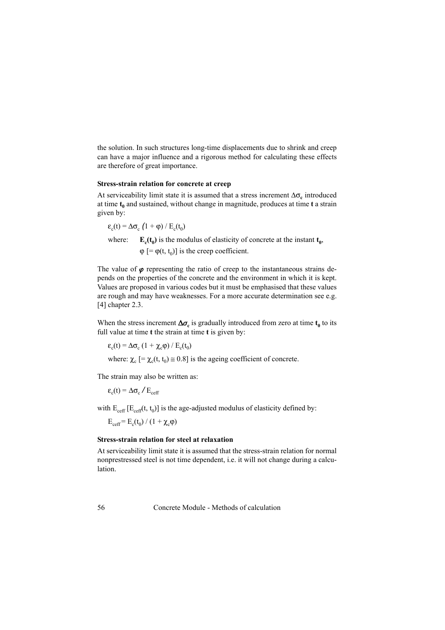the solution. In such structures long-time displacements due to shrink and creep can have a major influence and a rigorous method for calculating these effects are therefore of great importance.

#### **Stress-strain relation for concrete at creep**

At serviceability limit state it is assumed that a stress increment  $\Delta\sigma_c$  introduced at time  $t_0$  and sustained, without change in magnitude, produces at time  $t_0$  a strain given by:

 $\varepsilon_c(t) = \Delta \sigma_c (1 + \varphi) / E_c(t_0)$ 

where:  $\mathbf{E}_c(\mathbf{t}_0)$  is the modulus of elasticity of concrete at the instant  $\mathbf{t}_0$ ,  $\varphi$  [=  $\varphi$ (t, t<sub>0</sub>)] is the creep coefficient.

The value of  $\varphi$  representing the ratio of creep to the instantaneous strains depends on the properties of the concrete and the environment in which it is kept. Values are proposed in various codes but it must be emphasised that these values are rough and may have weaknesses. For a more accurate determination see e.g. [4] chapter 2.3.

When the stress increment  $\Delta \sigma$ <sub>c</sub> is gradually introduced from zero at time  $t_0$  to its full value at time **t** the strain at time **t** is given by:

$$
\varepsilon_{\rm c}(t) = \Delta \sigma_{\rm c} \left( 1 + \chi_{\rm c} \varphi \right) / E_{\rm c}(t_0)
$$

where:  $\chi_c$  [=  $\chi_c$ (t, t<sub>0</sub>)  $\approx$  0.8] is the ageing coefficient of concrete.

The strain may also be written as:

$$
\epsilon_{\rm c}(t) = \Delta \sigma_{\rm c} / E_{\rm eff}
$$

with  $E_{\text{eff}} [E_{\text{eff}}(t, t_0)]$  is the age-adjusted modulus of elasticity defined by:

$$
E_{\text{ceff}} = E_{\text{c}}(t_0) / (1 + \chi_{\text{c}} \varphi)
$$

#### **Stress-strain relation for steel at relaxation**

At serviceability limit state it is assumed that the stress-strain relation for normal nonprestressed steel is not time dependent, i.e. it will not change during a calculation.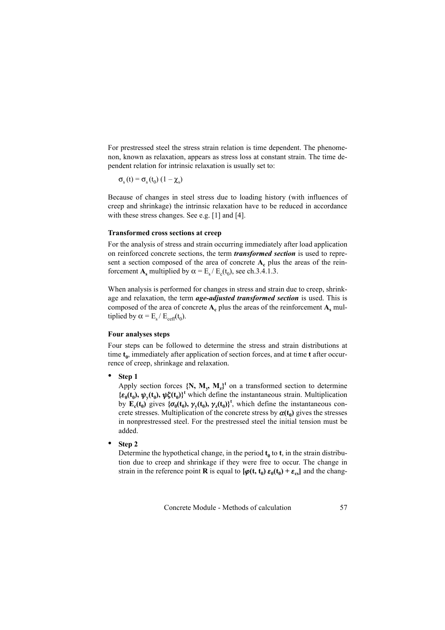For prestressed steel the stress strain relation is time dependent. The phenomenon, known as relaxation, appears as stress loss at constant strain. The time dependent relation for intrinsic relaxation is usually set to:

$$
\sigma_{_{\mathrm{S}}}(t)=\sigma_{_{\mathrm{S}}}(t_{_{\mathrm{0}}})\left(1-\chi_{_{\mathrm{S}}}\right)
$$

Because of changes in steel stress due to loading history (with influences of creep and shrinkage) the intrinsic relaxation have to be reduced in accordance with these stress changes. See e.g. [1] and [4].

#### **Transformed cross sections at creep**

For the analysis of stress and strain occurring immediately after load application on reinforced concrete sections, the term *transformed section* is used to represent a section composed of the area of concrete  $A_c$  plus the areas of the reinforcement **A**<sub>s</sub> multiplied by  $\alpha = E_s / E_c(t_0)$ , see ch[.3.4.1.3](#page-51-0).

When analysis is performed for changes in stress and strain due to creep, shrinkage and relaxation, the term *age-adjusted transformed section* is used. This is composed of the area of concrete  $A_c$  plus the areas of the reinforcement  $A_s$  multiplied by  $\alpha = E_s / E_{\text{eff}}(t_0)$ .

#### **Four analyses steps**

Four steps can be followed to determine the stress and strain distributions at time  $t_0$ , immediately after application of section forces, and at time **t** after occurrence of creep, shrinkage and relaxation.

• **Step 1**

Apply section forces  $\{N, M_{\gamma}, M_{z}\}^t$  on a transformed section to determine  ${\{\epsilon_0(t_0), \psi_{\nu}(t_0), \psi(\zeta(t_0)\}\}^t}$  which define the instantaneous strain. Multiplication by  $\mathbf{E}_c(t_0)$  gives  $\{\sigma_0(t_0), \gamma_y(t_0), \gamma_z(t_0)\}^t$ , which define the instantaneous concrete stresses. Multiplication of the concrete stress by  $\alpha(t_0)$  gives the stresses in nonprestressed steel. For the prestressed steel the initial tension must be added.

• **Step 2**

Determine the hypothetical change, in the period  $t_0$  to  $t$ , in the strain distribution due to creep and shrinkage if they were free to occur. The change in strain in the reference point **R** is equal to  $[\varphi(t, t_0) \varepsilon_0(t_0) + \varepsilon_{cs}]$  and the chang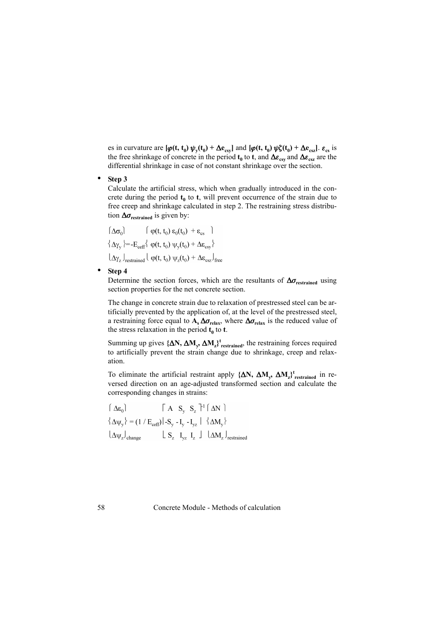es in curvature are  $[\varphi(t, t_0) \psi_{v}(t_0) + \Delta e_{\text{csv}}]$  and  $[\varphi(t, t_0) \psi \zeta(t_0) + \Delta e_{\text{csv}}]$ .  $\varepsilon_{\text{cs}}$  is the free shrinkage of concrete in the period  $t_0$  to **t**, and  $\Delta \varepsilon_{\text{csv}}$  and  $\Delta \varepsilon_{\text{csv}}$  are the differential shrinkage in case of not constant shrinkage over the section.

#### • **Step 3**

Calculate the artificial stress, which when gradually introduced in the concrete during the period  $t_0$  to  $t$ , will prevent occurrence of the strain due to free creep and shrinkage calculated in step 2. The restraining stress distribution  $\Delta \sigma_{\text{restrained}}$  is given by:

$$
\begin{aligned}\n\left[\Delta \sigma_0\right] & \qquad \int \varphi(t, t_0) \, \epsilon_0(t_0) + \epsilon_{cs} \, \mathrm{d}t_0 \\
\left\{\Delta \gamma_y\right\} = -E_{\text{ceff}} \left\{\varphi(t, t_0) \, \psi_y(t_0) + \Delta \epsilon_{\text{csy}}\right\} \\
\left[\Delta \gamma_z\right]_{\text{restrained}} & \qquad \int \varphi(t, t_0) \, \psi_z(t_0) + \Delta \epsilon_{\text{csz}} \, \mathrm{d}t_0\n\end{aligned}
$$

• **Step 4**

Determine the section forces, which are the resultants of  $\Delta\sigma_{\text{restrained}}$  using section properties for the net concrete section.

The change in concrete strain due to relaxation of prestressed steel can be artificially prevented by the application of, at the level of the prestressed steel, a restraining force equal to  $A_s \Delta \sigma_{relax}$ , where  $\Delta \sigma_{relax}$  is the reduced value of the stress relaxation in the period  $t_0$  to **t**.

Summing up gives **{**∆**N,** ∆**My,** ∆**Mz} t restrained**, the restraining forces required to artificially prevent the strain change due to shrinkage, creep and relaxation.

To eliminate the artificial restraint apply **{**∆**N,** ∆**My,** ∆**Mz} t restrained** in reversed direction on an age-adjusted transformed section and calculate the corresponding changes in strains:

$$
\begin{array}{ll}\n\int \Delta \varepsilon_0 & \int A \ S_y \ S_z \ \frac{1}{l} \int \Delta N \ \end{array}
$$
\n
$$
\begin{array}{ll}\n\frac{1}{2} \Delta \psi_y \n\end{array} = (1 / E_{\text{eff}}) \Big| S_y \ -I_y \ -I_{yz} \ \Big| \ \frac{1}{2} \Delta M_y \Big\}
$$
\n
$$
\begin{array}{ll}\n\Delta \psi_z \big|_{\text{change}} & \quad \text{L} \ S_z \ I_{yz} \ I_z \ \end{array} \Big| \ \langle \Delta M_z \rangle_{\text{restrained}}\n\end{array}
$$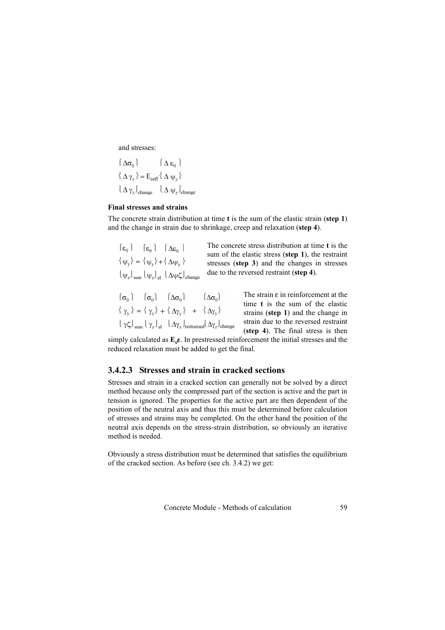<span id="page-58-0"></span>and stresses:

$$
\begin{aligned}\n\left\{\Delta \mathbf{\sigma}_0\right\} & \left\{\Delta \mathbf{\varepsilon}_0\right\} \\
\left\{\Delta \gamma_y\right\} &= \mathbf{E}_{\text{ceff}} \left\{\Delta \psi_y\right\} \\
\left\{\Delta \gamma_z\right\}_{\text{change}} & \left\{\Delta \psi_z\right\}_{\text{change}}\n\end{aligned}
$$

#### **Final stresses and strains**

The concrete strain distribution at time **t** is the sum of the elastic strain (**step 1**) and the change in strain due to shrinkage, creep and relaxation (**step 4**).

| $\lceil \varepsilon_0 \rceil$ $\lceil \varepsilon_0 \rceil$ $\lceil \Delta \varepsilon_0 \rceil$ | The concrete stress distribution at time <b>t</b> is the |
|--------------------------------------------------------------------------------------------------|----------------------------------------------------------|
|                                                                                                  | sum of the elastic stress (step 1), the restraint        |
| $\{\psi_{\rm v}\} = \{\psi_{\rm v}\} + \{\Delta\psi_{\rm v}\}$                                   | stresses (step 3) and the changes in stresses            |
| $(\psi_z)_{sum}$ $(\psi_z)_{el}$ $(\Delta \psi \zeta)_{change}$                                  | due to the reversed restraint (step 4).                  |

$$
\begin{aligned}\n\lceil \sigma_0 \rceil & \lceil \sigma_0 \rceil & \lceil \Delta \sigma_0 \rceil & \lceil \Delta \sigma_0 \rceil \\
\lceil \gamma_y \rceil & \vdots & \lceil \gamma_y \rceil + \lceil \Delta \gamma_y \rceil + \lceil \Delta \gamma_y \rceil \\
\lceil \gamma \zeta \rceil_{\text{sum}} & \lceil \gamma_z \rceil_{\text{el}} & \lceil \Delta \gamma_z \rceil_{\text{restrained}} \Delta \gamma_z \rceil_{\text{change}}\n\end{aligned}
$$

The strain ε in reinforcement at the time **t** is the sum of the elastic strains (**step 1**) and the change in strain due to the reversed restraint (**step 4**). The final stress is then

simply calculated as **E**<sub>ε</sub>ε. In prestressed reinforcement the initial stresses and the reduced relaxation must be added to get the final.

### **3.4.2.3 Stresses and strain in cracked sections**

Stresses and strain in a cracked section can generally not be solved by a direct method because only the compressed part of the section is active and the part in tension is ignored. The properties for the active part are then dependent of the position of the neutral axis and thus this must be determined before calculation of stresses and strains may be completed. On the other hand the position of the neutral axis depends on the stress-strain distribution, so obviously an iterative method is needed.

Obviously a stress distribution must be determined that satisfies the equilibrium of the cracked section. As before (see ch. [3.4.2](#page-52-0)) we get: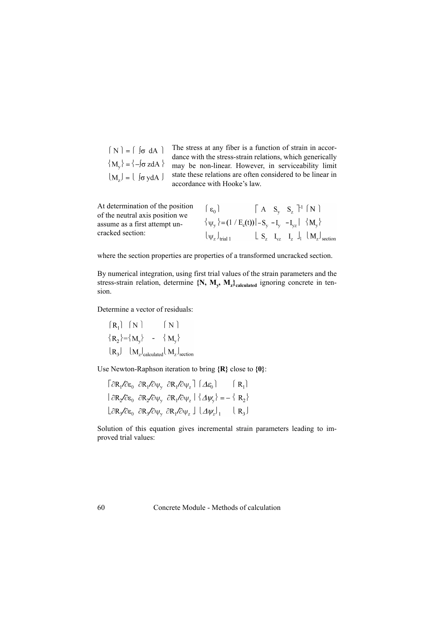The stress at any fiber is a function of strain in accor- $[N] = [6dA]$ dance with the stress-strain relations, which generically  $\{M_{\nu}\} = \{-\sigma z dA\}$ may be non-linear. However, in serviceability limit state these relations are often considered to be linear in  $[M<sub>z</sub>] = [ \int \sigma y dA ]$ accordance with Hooke's law.

At determination of the position  
\nof the neutral axis position we  
\nassume as a first attempt un-  
\ncracked section:  
\n
$$
\{\varepsilon_0\}
$$
  
\n $\{\varepsilon_0\}$   
\n $\{\varepsilon_1 \}$   
\n $\{\varepsilon_2\}$   
\n $\{\varepsilon_1 / E_c(t)\} - S_y - I_y - I_{yz} \}$   
\n $\{\varepsilon_2 / E_c(t)\} - S_y - I_y - I_{yz} \}$   
\n $\{\varepsilon_1 / E_c(t)\} - S_y - I_y - I_{yz} \}$   
\n $\{\varepsilon_2 / E_c(t)\} - S_z - I_y - I_{yz} \}$ 

where the section properties are properties of a transformed uncracked section.

By numerical integration, using first trial values of the strain parameters and the stress-strain relation, determine  $\{N, M_{\nu}, M_{z}\}\)_{calculated}$  ignoring concrete in tension.

Determine a vector of residuals:

 $[R_1]$   $[N]$   $[N]$  $\{R_2\}=\{M_v\}$  -  $\{M_v\}$  $(R_3)$   $(M_7)_{\text{calculated}}$   $(M_7)_{\text{section}}$ 

Use Newton-Raphson iteration to bring **{R}** close to **{0}**:

$$
\begin{aligned}\n\lceil \frac{\partial R_1}{\partial \varepsilon_0} \frac{\partial R_1}{\partial \psi_y} \frac{\partial R_1}{\partial \psi_z} \rceil \lceil \Delta \varepsilon_0 \rceil & \lceil R_1 \rceil \\
\lceil \frac{\partial R_2}{\partial \varepsilon_0} \frac{\partial R_2}{\partial \psi_y} \frac{\partial R_1}{\partial \psi_z} \rceil \lceil \frac{\partial \psi_z}{\partial \psi_z} \rceil & \lceil \frac{\partial \psi_z}{\partial \psi_z} \rceil \\
\lceil \frac{\partial R_3}{\partial \varepsilon_0} \frac{\partial R_3}{\partial \psi_y} \frac{\partial R_1}{\partial \psi_z} \rceil \lceil \frac{\langle \psi_z \rangle_1}{\partial \psi_z} \rceil & \lceil R_3 \rceil\n\end{aligned}
$$

Solution of this equation gives incremental strain parameters leading to improved trial values: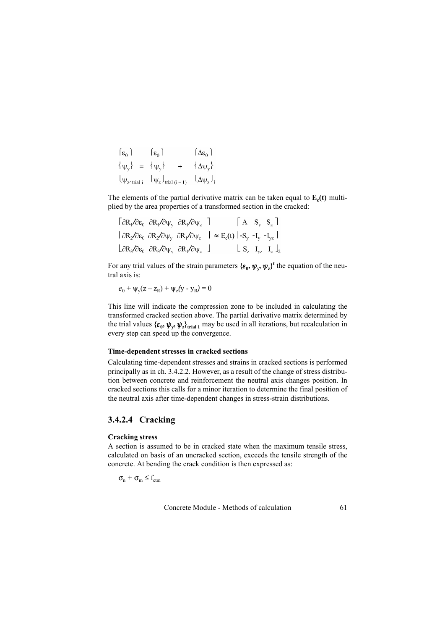<span id="page-60-0"></span>
$$
\begin{array}{lll}\n\left[\epsilon_{0}\right] & \left[\epsilon_{0}\right] & \left[\Delta\epsilon_{0}\right] \\
\left\{\psi_{y}\right\} & = & \left\{\psi_{y}\right\} & + & \left\{\Delta\psi_{y}\right\} \\
\left[\psi_{z}\right]_{\text{trial i}} & \left[\psi_{z}\right]_{\text{trial (i-1)}} & \left[\Delta\psi_{z}\right]_{i}\n\end{array}
$$

The elements of the partial derivative matrix can be taken equal to  $\mathbf{E}_c(t)$  multiplied by the area properties of a transformed section in the cracked:

$$
\begin{aligned}\n\lceil \partial R_1 / \partial \epsilon_0 & \partial R_1 / \partial \psi_y & \partial R_1 / \partial \psi_z \quad \rceil \\
\lceil \partial R_2 / \partial \epsilon_0 & \partial R_2 / \partial \psi_y & \partial R_1 / \partial \psi_z \quad \rceil \approx E_c(t) \mid -S_y - I_y - I_{yz} \mid \\
\lceil \partial R_3 / \partial \epsilon_0 & \partial R_3 / \partial \psi_y & \partial R_1 / \partial \psi_z \quad \rceil \quad \rceil \quad \rceil \quad S_z \quad I_{yz} \quad I_z \quad I_z\n\end{aligned}
$$

For any trial values of the strain parameters  $\{\varepsilon_0, \psi_0, \psi_2\}^t$  the equation of the neutral axis is:

 $e_0 + \Psi_y(z - z_R) + \Psi_z(y - y_R) = 0$ 

This line will indicate the compression zone to be included in calculating the transformed cracked section above. The partial derivative matrix determined by the trial values  ${\{\epsilon_0, \psi_{\nu}, \psi_{z}\}}_{\text{trial}}$  may be used in all iterations, but recalculation in every step can speed up the convergence.

#### **Time-dependent stresses in cracked sections**

Calculating time-dependent stresses and strains in cracked sections is performed principally as in ch. [3.4.2.2](#page-54-0). However, as a result of the change of stress distribution between concrete and reinforcement the neutral axis changes position. In cracked sections this calls for a minor iteration to determine the final position of the neutral axis after time-dependent changes in stress-strain distributions.

### **3.4.2.4 Cracking**

#### **Cracking stress**

A section is assumed to be in cracked state when the maximum tensile stress, calculated on basis of an uncracked section, exceeds the tensile strength of the concrete. At bending the crack condition is then expressed as:

 $\sigma_{\rm n}$  +  $\sigma_{\rm m}$   $\leq$   ${\rm f}_{\rm ctm}$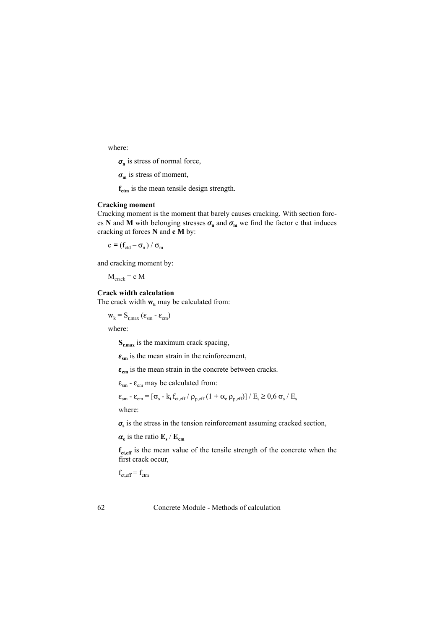where:

σ**<sup>n</sup>** is stress of normal force,

σ**<sup>m</sup>** is stress of moment,

 $f_{\text{ctm}}$  is the mean tensile design strength.

#### **Cracking moment**

Cracking moment is the moment that barely causes cracking. With section forces **N** and **M** with belonging stresses  $\sigma_n$  and  $\sigma_m$  we find the factor c that induces cracking at forces **N** and **c M** by:

$$
c = (f_{ctd} - \sigma_n) / \sigma_m
$$

and cracking moment by:

 $M_{\text{crack}} = c M$ 

#### **Crack width calculation**

The crack width  $\mathbf{w}_k$  may be calculated from:

$$
w_k = S_{r, max} (\varepsilon_{sm} - \varepsilon_{cm})
$$

where:

**S<sub>rmax</sub>** is the maximum crack spacing,

 $\varepsilon_{\rm sm}$  is the mean strain in the reinforcement,

 $\varepsilon_{cm}$  is the mean strain in the concrete between cracks.

 $\varepsilon_{\rm sm}$  -  $\varepsilon_{\rm cm}$  may be calculated from:

$$
\epsilon_{sm} \text{-} \epsilon_{cm} \text{=} \left[ \sigma_{\text{s}} \text{-} \left. k_{\text{t}} \, f_{\text{ct,eff}} \, / \, \rho_{\text{p,eff}} \left( 1 + \alpha_{\text{e}} \, \rho_{\text{p,eff}} \right) \right] / \, E_{\text{s}} \geq 0.6 \; \sigma_{\text{s}} \, / \, E_{\text{s}}
$$

where:

 $\sigma_{s}$  is the stress in the tension reinforcement assuming cracked section,

 $\alpha_e$  is the ratio  $\mathbf{E_s} / \mathbf{E_{cm}}$ 

**f**<sub>ct,eff</sub> is the mean value of the tensile strength of the concrete when the first crack occur,

 $f_{\text{ct,eff}} = f_{\text{ctm}}$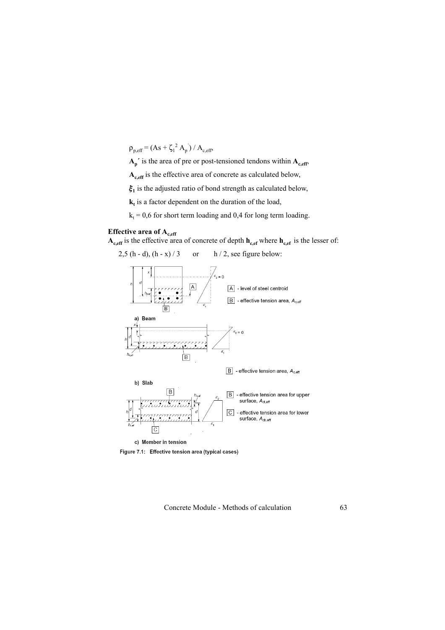$\rho_{p,eff} = (As + \zeta_1^2 A_p) / A_{c,eff}$ 

 $A_p'$  is the area of pre or post-tensioned tendons within  $A_{c,eff}$ ,

**Ac,eff** is the effective area of concrete as calculated below,

 $\xi_1$  is the adjusted ratio of bond strength as calculated below,

**kt** is a factor dependent on the duration of the load,

 $k_t = 0.6$  for short term loading and 0,4 for long term loading.

#### **Effective area of A<sub>c,eff</sub>**

 $A_{\text{c,eff}}$  is the effective area of concrete of depth  $h_{\text{c,ef}}$  where  $h_{\text{c,ef}}$  is the lesser of:



c) Member in tension

Figure 7.1: Effective tension area (typical cases)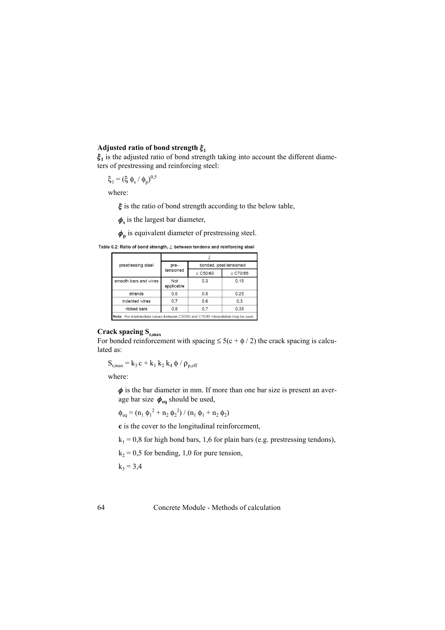#### **Adjusted ratio of bond strength** ξ**<sup>1</sup>**

 $\xi_1$  is the adjusted ratio of bond strength taking into account the different diameters of prestressing and reinforcing steel:

ξ<sub>1</sub> = (ξ φ<sub>s</sub> / φ<sub>p</sub>)<sup>0,5</sup>

where:

 $\xi$  is the ratio of bond strength according to the below table,

 $\phi_{\rm s}$  is the largest bar diameter,

φ**p** is equivalent diameter of prestressing steel.

Table 6.2: Ratio of bond strength,  $\xi$ , between tendons and reinforcing steel

| prestressing steel                                                                 | pre-<br>tensioned | bonded, post-tensioned |               |
|------------------------------------------------------------------------------------|-------------------|------------------------|---------------|
|                                                                                    |                   | $\leq$ C50/60          | $\geq$ C70/85 |
| smooth bars and wires                                                              | Not<br>applicable | 0.3                    | 0.15          |
| strands                                                                            | 0.6               | 0.5                    | 0.25          |
| indented wires                                                                     | 0,7               | 0,6                    | 0,3           |
| ribbed bars                                                                        | 0.8               | 0.7                    | 0.35          |
| Note: For intermediate values between C50/60 and C70/85 interpolation may be used. |                   |                        |               |

#### Crack spacing S<sub>rmax</sub>

For bonded reinforcement with spacing  $\leq 5(c + \phi/2)$  the crack spacing is calculated as:

$$
S_{r,max} = k_3 c + k_1 k_2 k_4 \phi / \rho_{p,eff}
$$

where:

 $\phi$  is the bar diameter in mm. If more than one bar size is present an average bar size  $\phi_{eq}$  should be used,

$$
\varphi_{eq}=(n_1\;{\varphi_1}^2+n_2\;{\varphi_2}^2)\,/\,(n_1\;{\varphi_1}+n_2\;{\varphi_2})
$$

**c** is the cover to the longitudinal reinforcement,

 $k_1 = 0.8$  for high bond bars, 1,6 for plain bars (e.g. prestressing tendons),

 $k<sub>2</sub> = 0.5$  for bending, 1,0 for pure tension,

$$
k_3 = 3,4
$$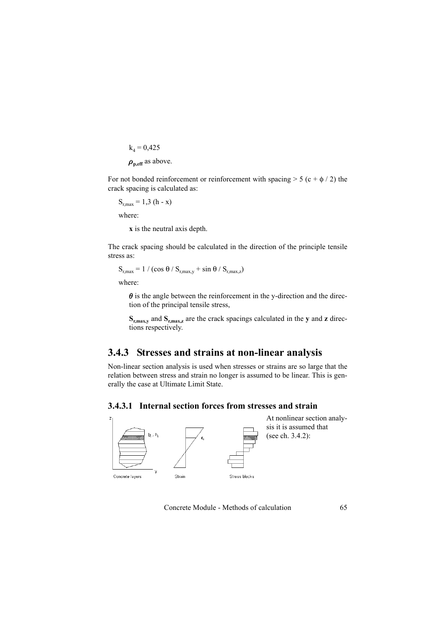<span id="page-64-0"></span> $k_4 = 0,425$  $\rho_{\text{neff}}$  as above.

For not bonded reinforcement or reinforcement with spacing  $> 5$  (c +  $\phi$  / 2) the crack spacing is calculated as:

 $S_{r, max} = 1,3 (h - x)$ 

where:

**x** is the neutral axis depth.

The crack spacing should be calculated in the direction of the principle tensile stress as:

$$
S_{r,max} = 1 / (\cos \theta / S_{r,max,y} + \sin \theta / S_{r,max,z})
$$

where:

 $\theta$  is the angle between the reinforcement in the y-direction and the direction of the principal tensile stress,

**Sr,max,y** and **Sr,max,z** are the crack spacings calculated in the **y** and **z** directions respectively.

## **3.4.3 Stresses and strains at non-linear analysis**

Non-linear section analysis is used when stresses or strains are so large that the relation between stress and strain no longer is assumed to be linear. This is generally the case at Ultimate Limit State.

### **3.4.3.1 Internal section forces from stresses and strain**

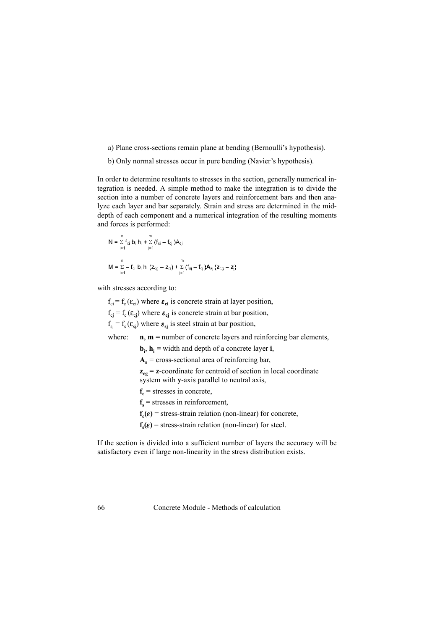- a) Plane cross-sections remain plane at bending (Bernoulli's hypothesis).
- b) Only normal stresses occur in pure bending (Navier's hypothesis).

In order to determine resultants to stresses in the section, generally numerical integration is needed. A simple method to make the integration is to divide the section into a number of concrete layers and reinforcement bars and then analyze each layer and bar separately. Strain and stress are determined in the middepth of each component and a numerical integration of the resulting moments and forces is performed:

$$
N = \sum_{i=1}^{n} f_{cj} b_i h_i + \sum_{j=1}^{m} (f_{sj} - f_{cj}) A_{sj}
$$
  

$$
M = \sum_{i=1}^{n} - f_{ci} b_i h_i (z_{cg} - z_{cj}) + \sum_{j=1}^{m} (f_{sj} - f_{cj}) A_{sj} (z_{cg} - z_j)
$$

with stresses according to:

 $f_{ci} = f_c (\varepsilon_{ci})$  where  $\varepsilon_{ci}$  is concrete strain at layer position,  $f_{ci} = f_c (\varepsilon_{ci})$  where  $\varepsilon_{ci}$  is concrete strain at bar position,  $f_{si} = f_{s}(\varepsilon_{si})$  where  $\varepsilon_{si}$  is steel strain at bar position,

where:  $\mathbf{n}$ ,  $\mathbf{m}$  = number of concrete layers and reinforcing bar elements,

 $\mathbf{b}_i$ ,  $\mathbf{h}_i$  = width and depth of a concrete layer **i**,

 $A_s$  = cross-sectional area of reinforcing bar,

 $z_{cg}$  = **z**-coordinate for centroid of section in local coordinate system with **y**-axis parallel to neutral axis,

 $f_c$  = stresses in concrete,

 $f<sub>s</sub>$  = stresses in reinforcement,

 $f_c(\varepsilon)$  = stress-strain relation (non-linear) for concrete,

 $f<sub>s</sub>(\varepsilon)$  = stress-strain relation (non-linear) for steel.

If the section is divided into a sufficient number of layers the accuracy will be satisfactory even if large non-linearity in the stress distribution exists.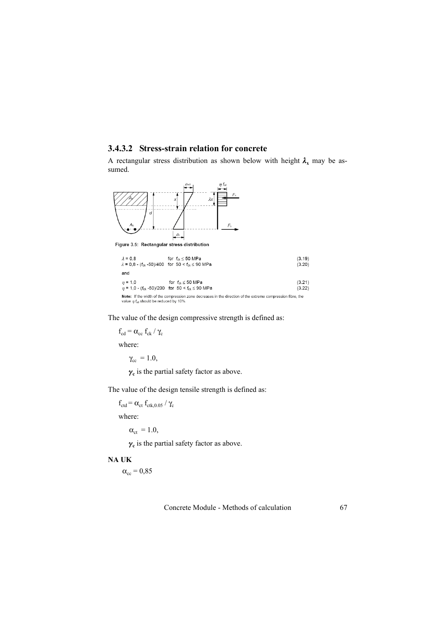### <span id="page-66-0"></span>**3.4.3.2 Stress-strain relation for concrete**

A rectangular stress distribution as shown below with height  $\lambda_x$  may be assumed.



Figure 3.5: Rectangular stress distribution

| $\lambda$ = 0.8 | for $f_{ck} \leq 50$ MPa<br>$\lambda = 0.8 - (f_{ck} - 50)/400$ for $50 < f_{ck} \le 90$ MPa               | (3.19)<br>(3.20) |
|-----------------|------------------------------------------------------------------------------------------------------------|------------------|
| and             |                                                                                                            |                  |
| $n = 1.0$       | for $f_{ck} \leq 50$ MPa<br>$\eta = 1.0 - (f_{ck} - 50)/200$ for $50 < f_{ck} \le 90$ MPa                  | (3.21)<br>(3.22) |
|                 | Note: If the width of the compression zone decreases in the direction of the extreme compression fibre the |                  |

value  $\eta$   $f_{\text{od}}$  should be reduced by 10%.

The value of the design compressive strength is defined as:

$$
f_{cd}^{}=\alpha_{cc}^{}\,\,f_{ck}^{}\,/\,\gamma_{c}^{}
$$

where:

 $\gamma_{\rm cc} = 1.0$ ,

 $\gamma_c$  is the partial safety factor as above.

The value of the design tensile strength is defined as:

$$
f_{ctd}^{} \!= \alpha_{ct}^{} \; f_{ctk,0.05}^{}
$$
 /  $\gamma_{c}^{}$ 

where:

 $\alpha_{\rm ct} = 1.0$ ,

 $\gamma_c$  is the partial safety factor as above.

#### **NA UK**

 $\alpha_{\rm co} = 0.85$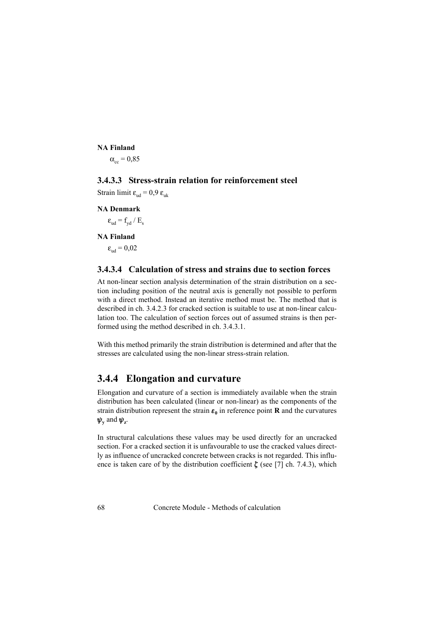#### <span id="page-67-0"></span>**NA Finland**

 $\alpha_{\rm cc} = 0.85$ 

### **3.4.3.3 Stress-strain relation for reinforcement steel**

Strain limit  $\varepsilon_{ud} = 0.9 \varepsilon_{uk}$ 

### **NA Denmark**

 $\epsilon_{\rm ud}$  =  $f_{\rm wd}$  /  $E_{\rm s}$ 

### **NA Finland**

 $\varepsilon_{ud} = 0.02$ 

### **3.4.3.4 Calculation of stress and strains due to section forces**

At non-linear section analysis determination of the strain distribution on a section including position of the neutral axis is generally not possible to perform with a direct method. Instead an iterative method must be. The method that is described in ch. [3.4.2.3](#page-58-0) for cracked section is suitable to use at non-linear calculation too. The calculation of section forces out of assumed strains is then performed using the method described in ch. [3.4.3.1](#page-64-0).

With this method primarily the strain distribution is determined and after that the stresses are calculated using the non-linear stress-strain relation.

## **3.4.4 Elongation and curvature**

Elongation and curvature of a section is immediately available when the strain distribution has been calculated (linear or non-linear) as the components of the strain distribution represent the strain  $\varepsilon_0$  in reference point **R** and the curvatures  $\psi$ <sub>x</sub> and  $\psi$ <sub>z</sub>.

In structural calculations these values may be used directly for an uncracked section. For a cracked section it is unfavourable to use the cracked values directly as influence of uncracked concrete between cracks is not regarded. This influence is taken care of by the distribution coefficient  $\zeta$  (see [7] ch. 7.4.3), which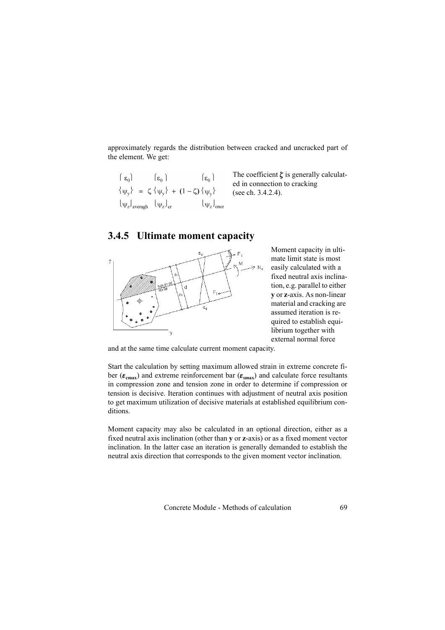approximately regards the distribution between cracked and uncracked part of the element. We get:

$$
\begin{aligned}\n\left\{\begin{aligned}\n\varepsilon_{0} \right\} & \qquad \left\{\varepsilon_{0} \right\} & \qquad \left\{\varepsilon_{0} \right\} \\
\left\{\psi_{y} \right\} & = \zeta \left\{\psi_{y} \right\} + (1 - \zeta) \left\{\psi_{y} \right\} \\
\left\{\psi_{z}\right\}_{\text{average}} & \left\{\psi_{z}\right\}_{\text{cr}} & \qquad \left\{\psi_{z}\right\}_{\text{oncr}}\n\end{aligned}\n\end{aligned}
$$

The coefficient  $\zeta$  is generally calculated in connection to cracking (see ch. [3.4.2.4](#page-60-0)).

### **3.4.5 Ultimate moment capacity**



Moment capacity in ultimate limit state is most easily calculated with a fixed neutral axis inclination, e.g. parallel to either **y** or **z**-axis. As non-linear material and cracking are assumed iteration is required to establish equilibrium together with external normal force

and at the same time calculate current moment capacity.

Start the calculation by setting maximum allowed strain in extreme concrete fiber ( $\epsilon_{\text{cmax}}$ ) and extreme reinforcement bar ( $\epsilon_{\text{smax}}$ ) and calculate force resultants in compression zone and tension zone in order to determine if compression or tension is decisive. Iteration continues with adjustment of neutral axis position to get maximum utilization of decisive materials at established equilibrium conditions.

Moment capacity may also be calculated in an optional direction, either as a fixed neutral axis inclination (other than **y** or **z**-axis) or as a fixed moment vector inclination. In the latter case an iteration is generally demanded to establish the neutral axis direction that corresponds to the given moment vector inclination.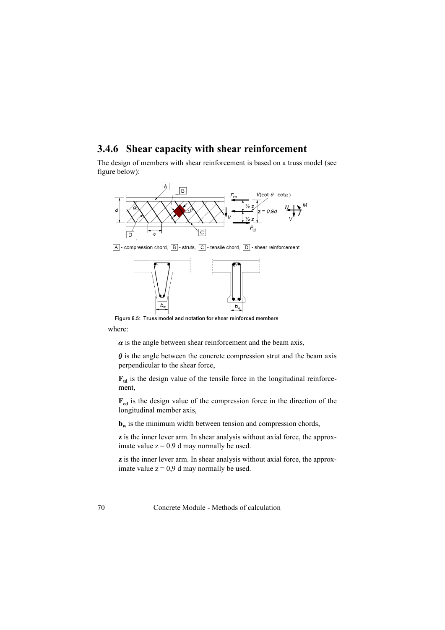## <span id="page-69-0"></span>**3.4.6 Shear capacity with shear reinforcement**

The design of members with shear reinforcement is based on a truss model (see figure below):



 $\boxed{A}$  - compression chord,  $\boxed{B}$  - struts,  $\boxed{C}$  - tensile chord,  $\boxed{D}$  - shear reinforcement



Figure 6.5: Truss model and notation for shear reinforced members

where:

 $\alpha$  is the angle between shear reinforcement and the beam axis,

 $\theta$  is the angle between the concrete compression strut and the beam axis perpendicular to the shear force,

 $\mathbf{F}_{td}$  is the design value of the tensile force in the longitudinal reinforcement,

F<sub>cd</sub> is the design value of the compression force in the direction of the longitudinal member axis,

 **is the minimum width between tension and compression chords,** 

**z** is the inner lever arm. In shear analysis without axial force, the approximate value  $z = 0.9$  d may normally be used.

**z** is the inner lever arm. In shear analysis without axial force, the approximate value  $z = 0.9$  d may normally be used.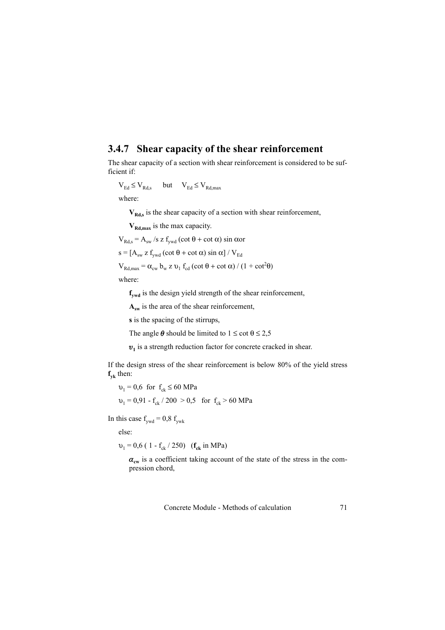## **3.4.7 Shear capacity of the shear reinforcement**

The shear capacity of a section with shear reinforcement is considered to be sufficient if:

 $V_{\rm Ed} \le V_{\rm Rd}$ , but  $V_{\rm Ed} \le V_{\rm Rd}$ 

where:

 $V_{Rd,s}$  is the shear capacity of a section with shear reinforcement,

**V<sub>Rd,max</sub>** is the max capacity.

$$
V_{Rd,s} = A_{sw} / s z f_{ywd} (cot \theta + cot \alpha) sin \alpha or
$$
  
\n
$$
s = [A_{sw} z f_{ywd} (cot \theta + cot \alpha) sin \alpha] / V_{Ed}
$$
  
\n
$$
V_{Rd,max} = \alpha_{ew} b_w z v_1 f_{cd} (cot \theta + cot \alpha) / (1 + cot^2 \theta)
$$
  
\nwhere:

where:

 $f<sub>wnd</sub>$  is the design yield strength of the shear reinforcement,

**Asw** is the area of the shear reinforcement,

**s** is the spacing of the stirrups,

The angle  $\theta$  should be limited to  $1 \le \cot \theta \le 2.5$ 

 $v_1$  is a strength reduction factor for concrete cracked in shear.

If the design stress of the shear reinforcement is below 80% of the yield stress **fyk** then:

$$
v_1 = 0.6 \text{ for } f_{ck} \le 60 \text{ MPa}
$$

 $v_1 = 0.91 - f_{c\text{k}} / 200 > 0.5$  for  $f_{c\text{k}} > 60 \text{ MPa}$ 

In this case  $f_{\text{vwd}} = 0.8 f_{\text{vwk}}$ 

else:

 $v_1 = 0.6$  ( 1 - f<sub>ck</sub> / 250) (f<sub>ck</sub> in MPa)

 $\alpha_{\rm cw}$  is a coefficient taking account of the state of the stress in the compression chord,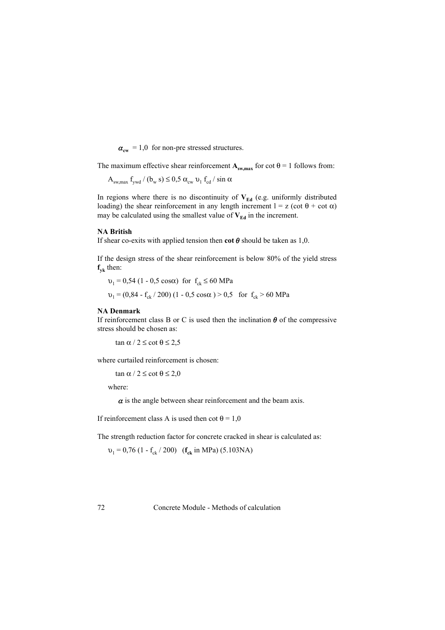$\alpha_{\text{cw}} = 1.0$  for non-pre stressed structures.

The maximum effective shear reinforcement  $A_{\text{sw,max}}$  for cot  $\theta = 1$  follows from:

 $A_{\text{curv}}$  f<sub>owd</sub> / (b<sub>w</sub> s)  $\leq$  0,5  $\alpha_{\text{cur}}$  v<sub>1</sub> f<sub>cd</sub> / sin  $\alpha$ 

In regions where there is no discontinuity of  $V_{Ed}$  (e.g. uniformly distributed loading) the shear reinforcement in any length increment  $l = z$  (cot  $\theta$  + cot  $\alpha$ ) may be calculated using the smallest value of  $V_{Ed}$  in the increment.

#### **NA British**

If shear co-exits with applied tension then **cot**  $\theta$  should be taken as 1,0.

If the design stress of the shear reinforcement is below 80% of the yield stress  $f_{\rm vk}$  then:

 $v_1 = 0.54$  (1 - 0.5 cos $\alpha$ ) for  $f_{ck} \le 60$  MPa  $v_1 = (0.84 - f_{ck} / 200) (1 - 0.5 \cos \alpha) > 0.5$  for  $f_{ck} > 60$  MPa

#### **NA Denmark**

If reinforcement class B or C is used then the inclination  $\theta$  of the compressive stress should be chosen as:

tan  $\alpha$  / 2 ≤ cot θ ≤ 2,5

where curtailed reinforcement is chosen:

tan  $\alpha$  / 2 ≤ cot θ ≤ 2.0

where:

 $\alpha$  is the angle between shear reinforcement and the beam axis.

If reinforcement class A is used then cot  $\theta = 1.0$ 

The strength reduction factor for concrete cracked in shear is calculated as:

 $v_1 = 0.76$  (1 - f<sub>ck</sub> / 200) (f<sub>ck</sub> in MPa) (5.103NA)

72 Concrete Module - Methods of calculation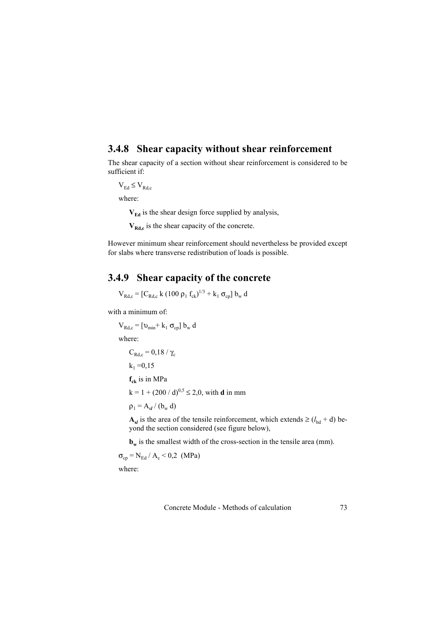### **3.4.8 Shear capacity without shear reinforcement**

The shear capacity of a section without shear reinforcement is considered to be sufficient if:

$$
V_{Ed} \leq V_{Rd,c}
$$

where:

 $V_{\text{Ed}}$  is the shear design force supplied by analysis,

 $V_{\text{Rd},c}$  is the shear capacity of the concrete.

However minimum shear reinforcement should nevertheless be provided except for slabs where transverse redistribution of loads is possible.

## **3.4.9 Shear capacity of the concrete**

$$
V_{Rd,c} = [C_{Rd,c} k (100 \rho_1 f_{ck})^{1/3} + k_1 \sigma_{cp}] b_w d
$$

with a minimum of:

 $V_{Rd,c} = [\nu_{min} + k_1 \sigma_{cn}] b_w d$ 

where:

$$
C_{\text{Rd,c}} = 0.18 / \gamma_c
$$
  
\nk<sub>1</sub> = 0.15  
\n**f**<sub>ck</sub> is in MPa  
\nk = 1 + (200 / d)<sup>0.5</sup>  $\le$  2.0, with **d** in mm  
\n
$$
\rho_1 = A_{\text{sf}} / (b_{\text{w}} d)
$$

 $A_{\rm sl}$  is the area of the tensile reinforcement, which extends  $\geq (l_{\rm bd} + d)$  beyond the section considered (see figure below),

 **is the smallest width of the cross-section in the tensile area (mm).** 

 $\sigma_{\rm cn} = N_{\rm Ed} / A_c < 0.2$  (MPa)

where: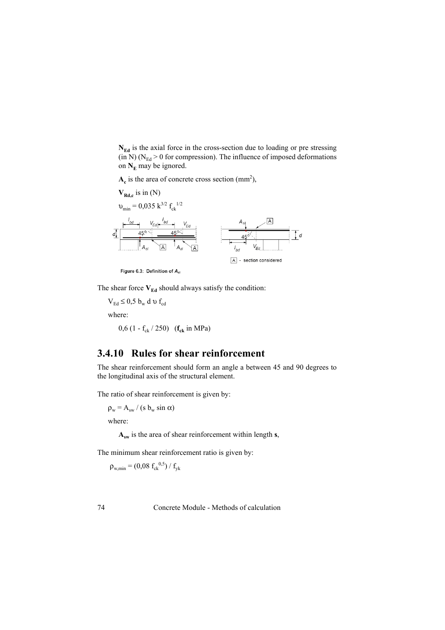$N_{\text{Ed}}$  is the axial force in the cross-section due to loading or pre stressing (in N) ( $N_{Ed}$  > 0 for compression). The influence of imposed deformations on  $N<sub>F</sub>$  may be ignored.

 $A_c$  is the area of concrete cross section (mm<sup>2</sup>),



Figure 6.3: Definition of  $A_{sl}$ 

The shear force  $V_{Ed}$  should always satisfy the condition:

 $V_{Ed}$  ≤ 0,5  $b_w$  d v f<sub>cd</sub>

where:

$$
0.6 (1 - f_{ck} / 250) \quad (f_{ck} \text{ in MPa})
$$

#### **3.4.10 Rules for shear reinforcement**

The shear reinforcement should form an angle a between 45 and 90 degrees to the longitudinal axis of the structural element.

The ratio of shear reinforcement is given by:

$$
\rho_w = A_{sw} / (s b_w \sin \alpha)
$$

where:

**Asw** is the area of shear reinforcement within length **s**,

The minimum shear reinforcement ratio is given by:

 $\rho_{w,min} = (0.08 \text{ f}_{ck}^{0.5}) / \text{ f}_{yk}$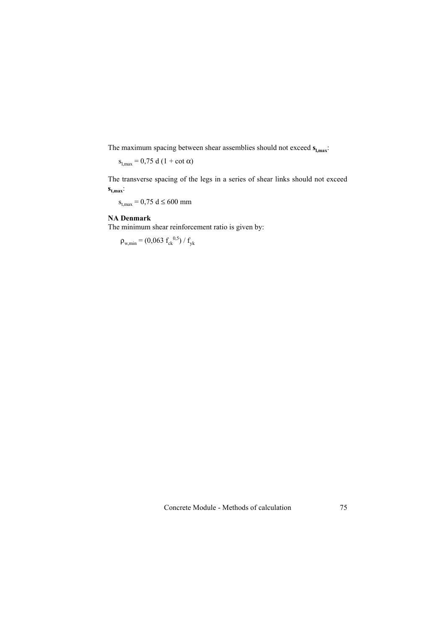The maximum spacing between shear assemblies should not exceed  $\mathbf{s}_{\text{Lmax}}$ .

 $s<sub>l max</sub> = 0.75 d (1 + cot α)$ 

The transverse spacing of the legs in a series of shear links should not exceed **st,max**:

 $s_{t, max} = 0.75$  d  $\leq 600$  mm

#### **NA Denmark**

The minimum shear reinforcement ratio is given by:

 $\rho_{w,min} = (0.063 f_{ck}^{0.5}) / f_{yk}$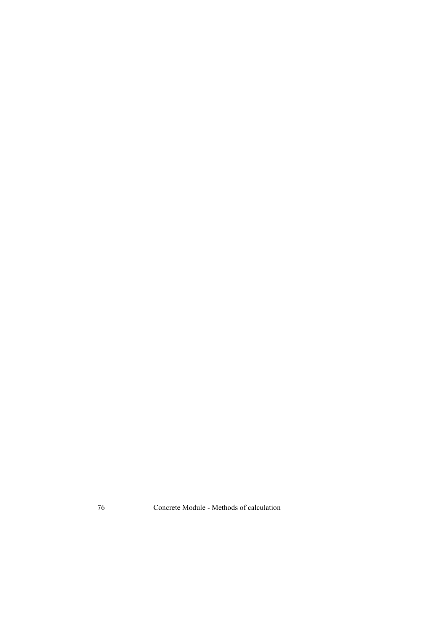76 Concrete Module - Methods of calculation